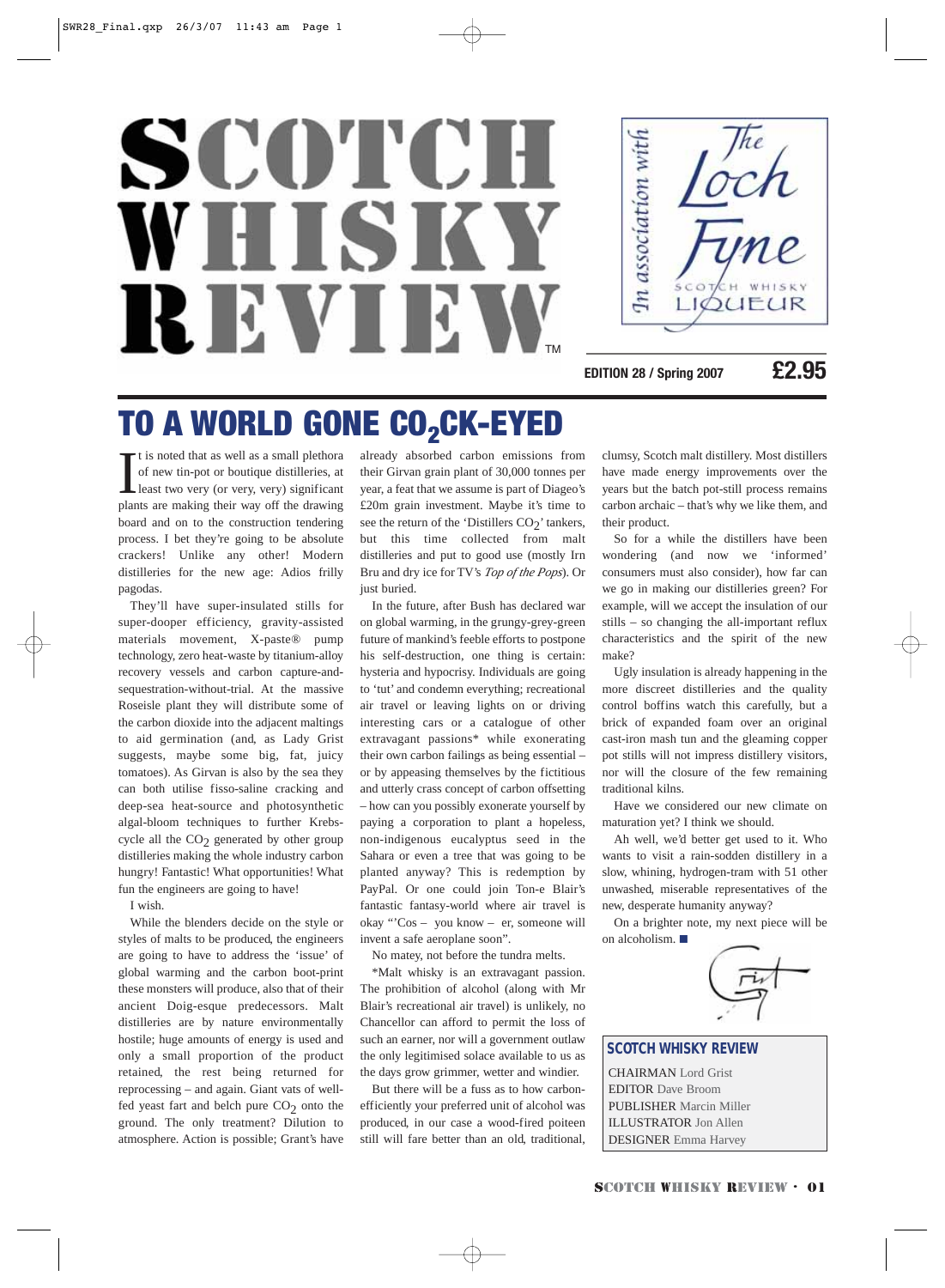# SCOTCH WHISK **REVIEW** TM



**EDITION 28 / Spring 2007 £2.95**

## TO A WORLD GONE CO<sub>2</sub>CK-EYED

It is noted that as well as a small plethora<br>of new tin-pot or boutique distilleries, at<br>least two very (or very, very) significant<br>plants are making their way off the drawing t is noted that as well as a small plethora of new tin-pot or boutique distilleries, at least two very (or very, very) significant board and on to the construction tendering process. I bet they're going to be absolute crackers! Unlike any other! Modern distilleries for the new age: Adios frilly pagodas.

They'll have super-insulated stills for super-dooper efficiency, gravity-assisted materials movement, X-paste® pump technology, zero heat-waste by titanium-alloy recovery vessels and carbon capture-andsequestration-without-trial. At the massive Roseisle plant they will distribute some of the carbon dioxide into the adjacent maltings to aid germination (and, as Lady Grist suggests, maybe some big, fat, juicy tomatoes). As Girvan is also by the sea they can both utilise fisso-saline cracking and deep-sea heat-source and photosynthetic algal-bloom techniques to further Krebscycle all the  $CO<sub>2</sub>$  generated by other group distilleries making the whole industry carbon hungry! Fantastic! What opportunities! What fun the engineers are going to have!

I wish.

While the blenders decide on the style or styles of malts to be produced, the engineers are going to have to address the 'issue' of global warming and the carbon boot-print these monsters will produce, also that of their ancient Doig-esque predecessors. Malt distilleries are by nature environmentally hostile; huge amounts of energy is used and only a small proportion of the product retained, the rest being returned for reprocessing – and again. Giant vats of wellfed yeast fart and belch pure  $CO<sub>2</sub>$  onto the ground. The only treatment? Dilution to atmosphere. Action is possible; Grant's have

already absorbed carbon emissions from their Girvan grain plant of 30,000 tonnes per year, a feat that we assume is part of Diageo's £20m grain investment. Maybe it's time to see the return of the 'Distillers  $CO<sub>2</sub>$ ' tankers, but this time collected from malt distilleries and put to good use (mostly Irn Bru and dry ice for TV's *Top of the Pops*). Or just buried.

In the future, after Bush has declared war on global warming, in the grungy-grey-green future of mankind's feeble efforts to postpone his self-destruction, one thing is certain: hysteria and hypocrisy. Individuals are going to 'tut' and condemn everything; recreational air travel or leaving lights on or driving interesting cars or a catalogue of other extravagant passions\* while exonerating their own carbon failings as being essential – or by appeasing themselves by the fictitious and utterly crass concept of carbon offsetting – how can you possibly exonerate yourself by paying a corporation to plant a hopeless, non-indigenous eucalyptus seed in the Sahara or even a tree that was going to be planted anyway? This is redemption by PayPal. Or one could join Ton-e Blair's fantastic fantasy-world where air travel is okay "'Cos – you know – er, someone will invent a safe aeroplane soon".

No matey, not before the tundra melts.

\*Malt whisky is an extravagant passion. The prohibition of alcohol (along with Mr Blair's recreational air travel) is unlikely, no Chancellor can afford to permit the loss of such an earner, nor will a government outlaw the only legitimised solace available to us as the days grow grimmer, wetter and windier.

But there will be a fuss as to how carbonefficiently your preferred unit of alcohol was produced, in our case a wood-fired poiteen still will fare better than an old, traditional,

clumsy, Scotch malt distillery. Most distillers have made energy improvements over the years but the batch pot-still process remains carbon archaic – that's why we like them, and their product.

So for a while the distillers have been wondering (and now we 'informed' consumers must also consider), how far can we go in making our distilleries green? For example, will we accept the insulation of our stills – so changing the all-important reflux characteristics and the spirit of the new make?

Ugly insulation is already happening in the more discreet distilleries and the quality control boffins watch this carefully, but a brick of expanded foam over an original cast-iron mash tun and the gleaming copper pot stills will not impress distillery visitors, nor will the closure of the few remaining traditional kilns.

Have we considered our new climate on maturation yet? I think we should.

Ah well, we'd better get used to it. Who wants to visit a rain-sodden distillery in a slow, whining, hydrogen-tram with 51 other unwashed, miserable representatives of the new, desperate humanity anyway?

On a brighter note, my next piece will be on alcoholism. ■



### **SCOTCH WHISKY REVIEW**

CHAIRMAN Lord Grist EDITOR Dave Broom PUBLISHER Marcin Miller ILLUSTRATOR Jon Allen DESIGNER Emma Harvey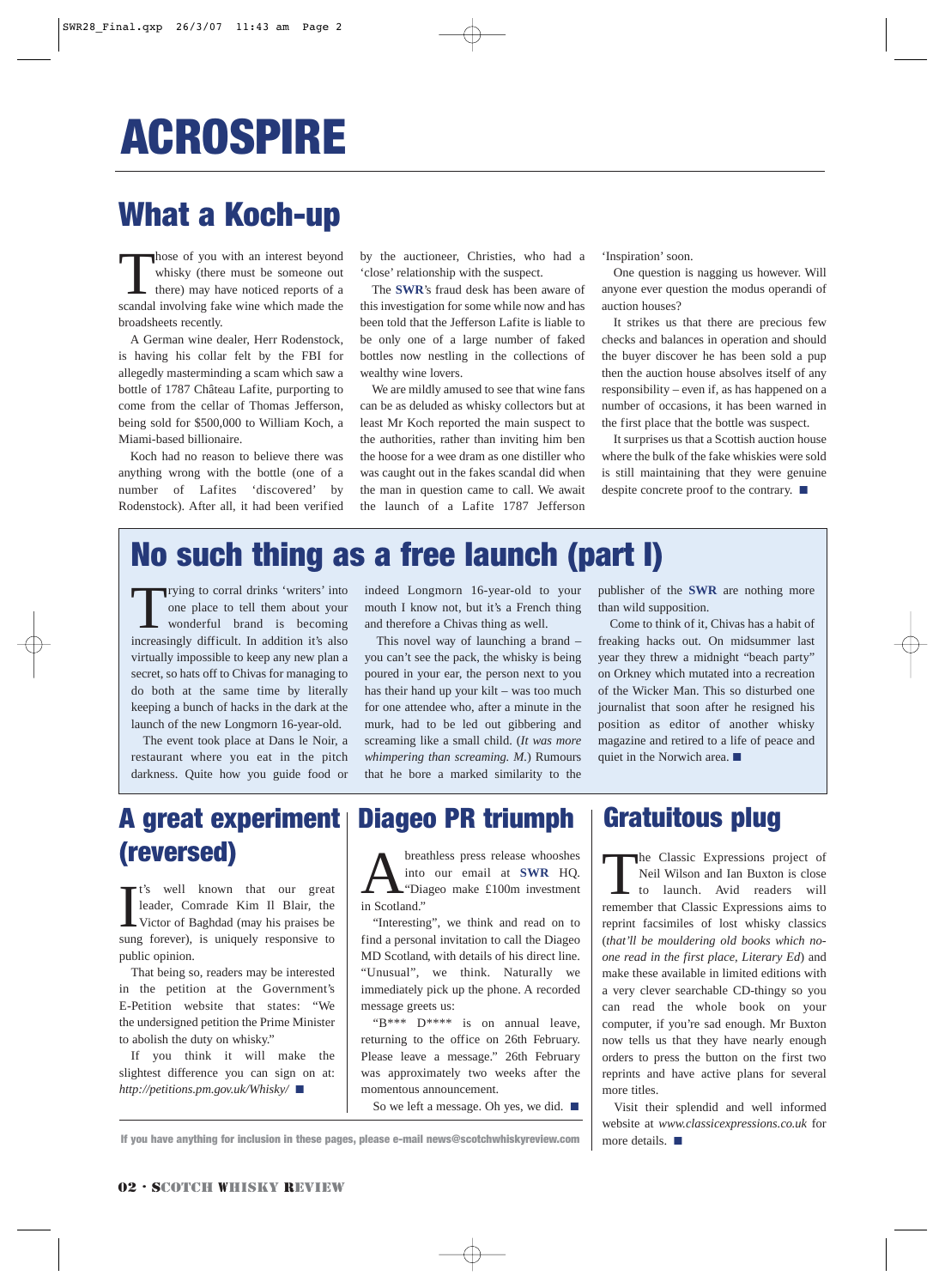## **ACROSPIRE**

## What a Koch-up

Those of you with an interest beyond whisky (there must be someone out there) may have noticed reports of a scandal involving fake wine which made the broadsheets recently.

A German wine dealer, Herr Rodenstock, is having his collar felt by the FBI for allegedly masterminding a scam which saw a bottle of 1787 Château Lafite, purporting to come from the cellar of Thomas Jefferson, being sold for \$500,000 to William Koch, a Miami-based billionaire.

Koch had no reason to believe there was anything wrong with the bottle (one of a number of Lafites 'discovered' by Rodenstock). After all, it had been verified

by the auctioneer, Christies, who had a 'close' relationship with the suspect.

The **SWR**'s fraud desk has been aware of this investigation for some while now and has been told that the Jefferson Lafite is liable to be only one of a large number of faked bottles now nestling in the collections of wealthy wine lovers.

We are mildly amused to see that wine fans can be as deluded as whisky collectors but at least Mr Koch reported the main suspect to the authorities, rather than inviting him ben the hoose for a wee dram as one distiller who was caught out in the fakes scandal did when the man in question came to call. We await the launch of a Lafite 1787 Jefferson 'Inspiration' soon.

One question is nagging us however. Will anyone ever question the modus operandi of auction houses?

It strikes us that there are precious few checks and balances in operation and should the buyer discover he has been sold a pup then the auction house absolves itself of any responsibility – even if, as has happened on a number of occasions, it has been warned in the first place that the bottle was suspect.

It surprises us that a Scottish auction house where the bulk of the fake whiskies were sold is still maintaining that they were genuine despite concrete proof to the contrary.  $\Box$ 

## No such thing as a free launch (part I)

Trying to corral drinks 'writers' into one place to tell them about your **wonderful** brand is becoming increasingly difficult. In addition it's also virtually impossible to keep any new plan a secret, so hats off to Chivas for managing to do both at the same time by literally keeping a bunch of hacks in the dark at the launch of the new Longmorn 16-year-old.

The event took place at Dans le Noir, a restaurant where you eat in the pitch darkness. Quite how you guide food or indeed Longmorn 16-year-old to your mouth I know not, but it's a French thing and therefore a Chivas thing as well.

This novel way of launching a brand – you can't see the pack, the whisky is being poured in your ear, the person next to you has their hand up your kilt – was too much for one attendee who, after a minute in the murk, had to be led out gibbering and screaming like a small child. (*It was more whimpering than screaming. M.*) Rumours that he bore a marked similarity to the

publisher of the **SWR** are nothing more than wild supposition.

Come to think of it, Chivas has a habit of freaking hacks out. On midsummer last year they threw a midnight "beach party" on Orkney which mutated into a recreation of the Wicker Man. This so disturbed one journalist that soon after he resigned his position as editor of another whisky magazine and retired to a life of peace and quiet in the Norwich area. ■

### A great experiment (reversed)

I t's well known that our great leader, Comrade Kim Il Blair, the Victor of Baghdad (may his praises be sung forever), is uniquely responsive to public opinion.

That being so, readers may be interested in the petition at the Government's E-Petition website that states: "We the undersigned petition the Prime Minister to abolish the duty on whisky."

If you think it will make the slightest difference you can sign on at: *http://petitions.pm.gov.uk/Whisky/* ■

**A** breathless press release whooshes<br>into our email at SWR HQ.<br>"Diageo make £100m investment into our email at **SWR** HQ. "Diageo make £100m investment in Scotland."

Diageo PR triumph

"Interesting", we think and read on to find a personal invitation to call the Diageo MD Scotland, with details of his direct line. "Unusual", we think. Naturally we immediately pick up the phone. A recorded message greets us:

"B\*\*\* D\*\*\*\* is on annual leave, returning to the office on 26th February. Please leave a message." 26th February was approximately two weeks after the momentous announcement.

So we left a message. Oh yes, we did. ■

### Gratuitous plug

The Classic Expressions project of Neil Wilson and Ian Buxton is close to launch. Avid readers will remember that Classic Expressions aims to reprint facsimiles of lost whisky classics (*that'll be mouldering old books which noone read in the first place, Literary Ed*) and make these available in limited editions with a very clever searchable CD-thingy so you can read the whole book on your computer, if you're sad enough. Mr Buxton now tells us that they have nearly enough orders to press the button on the first two reprints and have active plans for several more titles.

Visit their splendid and well informed website at *www.classicexpressions.co.uk* for If you have anything for inclusion in these pages, please e-mail news@scotchwhiskyreview.com | more details. ■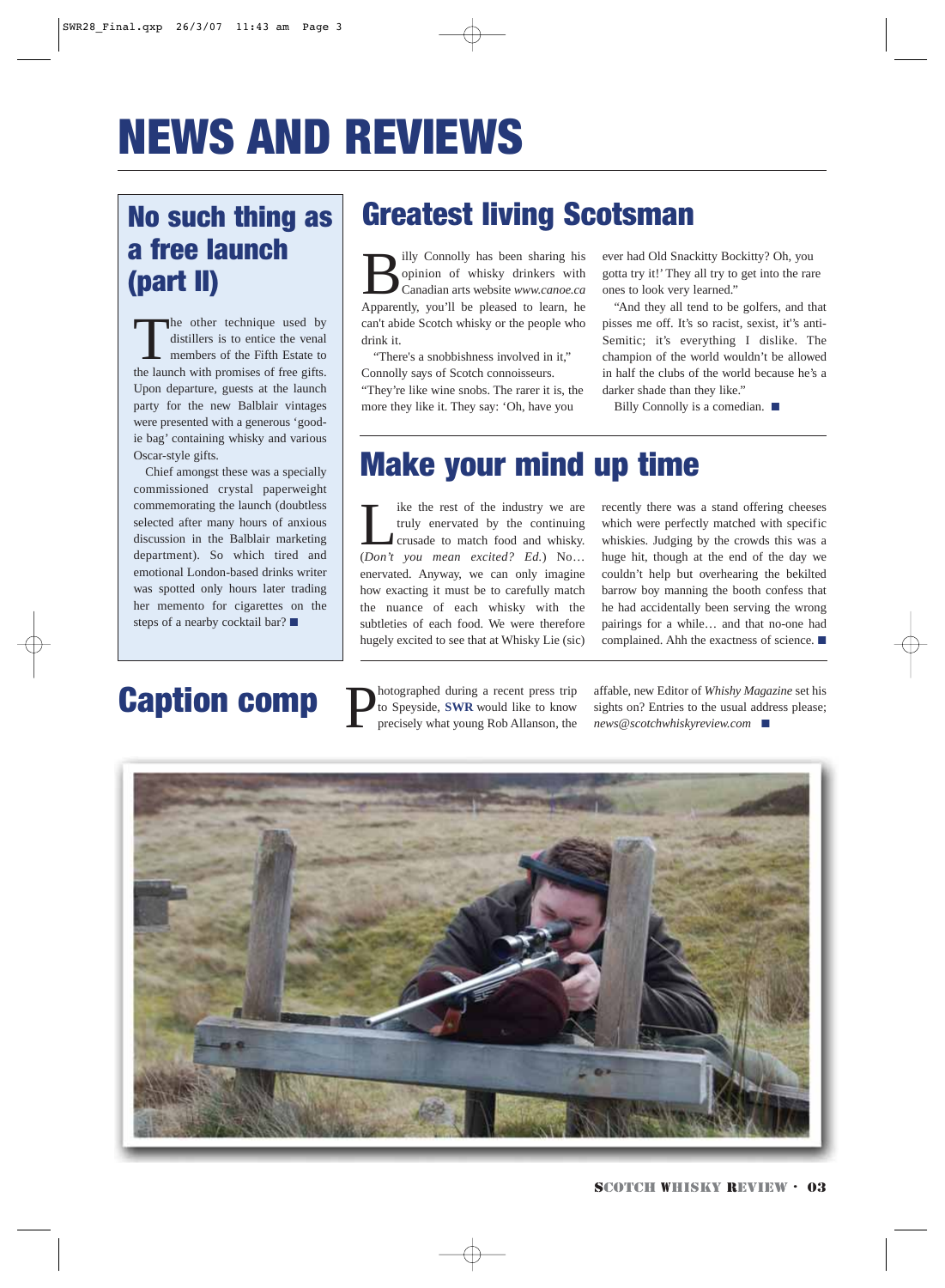# NEWS AND REVIEWS

### No such thing as a free launch (part II)

The other technique used by distillers is to entice the venal members of the Fifth Estate to the launch with promises of free gifts. Upon departure, guests at the launch party for the new Balblair vintages were presented with a generous 'goodie bag' containing whisky and various Oscar-style gifts.

Chief amongst these was a specially commissioned crystal paperweight commemorating the launch (doubtless selected after many hours of anxious discussion in the Balblair marketing department). So which tired and emotional London-based drinks writer was spotted only hours later trading her memento for cigarettes on the steps of a nearby cocktail bar? ■

## Caption comp

## Greatest living Scotsman

**B** opinion of whisky drinkers with<br>Canadian arts website www.canoe.ca<br>Apparently you'll be pleased to learn be opinion of whisky drinkers with Canadian arts website *www.canoe.ca* Apparently, you'll be pleased to learn, he can't abide Scotch whisky or the people who drink it.

"There's a snobbishness involved in it," Connolly says of Scotch connoisseurs. "They're like wine snobs. The rarer it is, the

more they like it. They say: 'Oh, have you

ever had Old Snackitty Bockitty? Oh, you gotta try it!' They all try to get into the rare ones to look very learned."

"And they all tend to be golfers, and that pisses me off. It's so racist, sexist, it''s anti-Semitic; it's everything I dislike. The champion of the world wouldn't be allowed in half the clubs of the world because he's a darker shade than they like."

Billy Connolly is a comedian. ■

## Make your mind up time

ike the rest of the industry we are truly enervated by the continuing crusade to match food and whisky. (*Don't you mean excited? Ed.*) No… enervated. Anyway, we can only imagine how exacting it must be to carefully match the nuance of each whisky with the subtleties of each food. We were therefore hugely excited to see that at Whisky Lie (sic)

recently there was a stand offering cheeses which were perfectly matched with specific whiskies. Judging by the crowds this was a huge hit, though at the end of the day we couldn't help but overhearing the bekilted barrow boy manning the booth confess that he had accidentally been serving the wrong pairings for a while… and that no-one had complained. Ahh the exactness of science. ■

**Photographed during a recent press trip** to Speyside, **SWR** would like to know precisely what young Rob Allanson, the to Speyside, **SWR** would like to know precisely what young Rob Allanson, the

affable, new Editor of *Whishy Magazine* set his sights on? Entries to the usual address please; *news@scotchwhiskyreview.com* ■

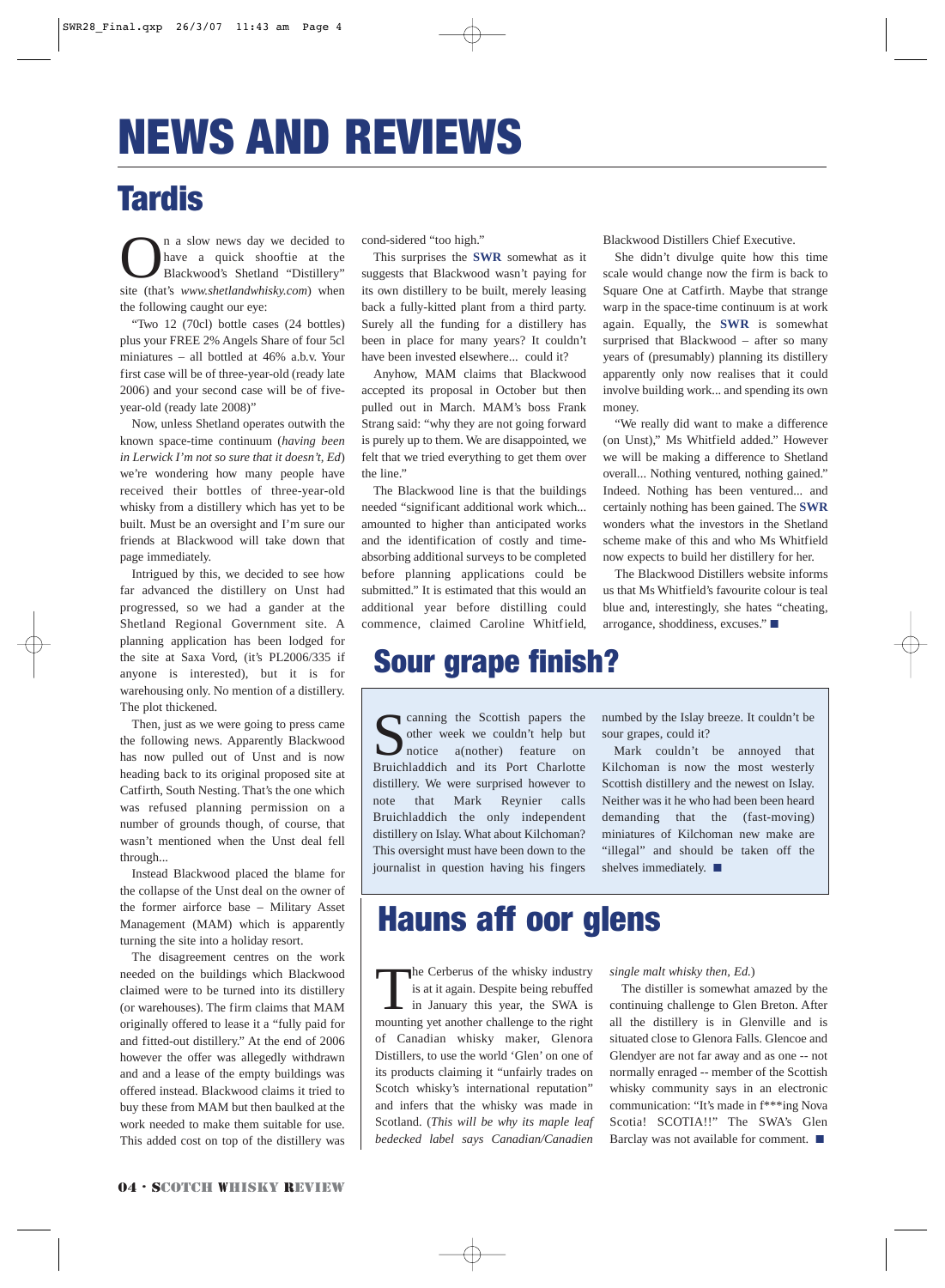# NEWS AND REVIEWS

## **Tardis**

**O**<br>have a quick shooftie at the<br>Blackwood's Shetland "Distillery"<br>site (that's *www.shetlandwhisky.com*) when have a quick shooftie at the Blackwood's Shetland "Distillery" the following caught our eye:

"Two 12 (70cl) bottle cases (24 bottles) plus your FREE 2% Angels Share of four 5cl miniatures – all bottled at 46% a.b.v. Your first case will be of three-year-old (ready late 2006) and your second case will be of fiveyear-old (ready late 2008)"

Now, unless Shetland operates outwith the known space-time continuum (*having been in Lerwick I'm not so sure that it doesn't, Ed*) we're wondering how many people have received their bottles of three-year-old whisky from a distillery which has yet to be built. Must be an oversight and I'm sure our friends at Blackwood will take down that page immediately.

Intrigued by this, we decided to see how far advanced the distillery on Unst had progressed, so we had a gander at the Shetland Regional Government site. A planning application has been lodged for the site at Saxa Vord, (it's PL2006/335 if anyone is interested), but it is for warehousing only. No mention of a distillery. The plot thickened.

Then, just as we were going to press came the following news. Apparently Blackwood has now pulled out of Unst and is now heading back to its original proposed site at Catfirth, South Nesting. That's the one which was refused planning permission on a number of grounds though, of course, that wasn't mentioned when the Unst deal fell through...

Instead Blackwood placed the blame for the collapse of the Unst deal on the owner of the former airforce base – Military Asset Management (MAM) which is apparently turning the site into a holiday resort.

The disagreement centres on the work needed on the buildings which Blackwood claimed were to be turned into its distillery (or warehouses). The firm claims that MAM originally offered to lease it a "fully paid for and fitted-out distillery." At the end of 2006 however the offer was allegedly withdrawn and and a lease of the empty buildings was offered instead. Blackwood claims it tried to buy these from MAM but then baulked at the work needed to make them suitable for use. This added cost on top of the distillery was

cond-sidered "too high."

This surprises the **SWR** somewhat as it suggests that Blackwood wasn't paying for its own distillery to be built, merely leasing back a fully-kitted plant from a third party. Surely all the funding for a distillery has been in place for many years? It couldn't have been invested elsewhere... could it?

Anyhow, MAM claims that Blackwood accepted its proposal in October but then pulled out in March. MAM's boss Frank Strang said: "why they are not going forward is purely up to them. We are disappointed, we felt that we tried everything to get them over the line."

The Blackwood line is that the buildings needed "significant additional work which... amounted to higher than anticipated works and the identification of costly and timeabsorbing additional surveys to be completed before planning applications could be submitted." It is estimated that this would an additional year before distilling could commence, claimed Caroline Whitfield,

### Sour grape finish?

I canning the Scottish papers the other week we couldn't help but notice a(nother) feature on Bruichladdich and its Port Charlotte distillery. We were surprised however to note that Mark Reynier calls Bruichladdich the only independent distillery on Islay. What about Kilchoman? This oversight must have been down to the journalist in question having his fingers

Blackwood Distillers Chief Executive.

She didn't divulge quite how this time scale would change now the firm is back to Square One at Catfirth. Maybe that strange warp in the space-time continuum is at work again. Equally, the **SWR** is somewhat surprised that Blackwood – after so many years of (presumably) planning its distillery apparently only now realises that it could involve building work... and spending its own money.

"We really did want to make a difference (on Unst)," Ms Whitfield added." However we will be making a difference to Shetland overall... Nothing ventured, nothing gained." Indeed. Nothing has been ventured... and certainly nothing has been gained. The **SWR** wonders what the investors in the Shetland scheme make of this and who Ms Whitfield now expects to build her distillery for her.

The Blackwood Distillers website informs us that Ms Whitfield's favourite colour is teal blue and, interestingly, she hates "cheating, arrogance, shoddiness, excuses." ■

numbed by the Islay breeze. It couldn't be sour grapes, could it?

Mark couldn't be annoyed that Kilchoman is now the most westerly Scottish distillery and the newest on Islay. Neither was it he who had been been heard demanding that the (fast-moving) miniatures of Kilchoman new make are "illegal" and should be taken off the shelves immediately. ■

## Hauns aff oor glens

The Cerberus of the whisky industry is at it again. Despite being rebuffed in January this year, the SWA is mounting yet another challenge to the right of Canadian whisky maker, Glenora Distillers, to use the world 'Glen' on one of its products claiming it "unfairly trades on Scotch whisky's international reputation" and infers that the whisky was made in Scotland. (*This will be why its maple leaf bedecked label says Canadian/Canadien* 

*single malt whisky then, Ed.*)

The distiller is somewhat amazed by the continuing challenge to Glen Breton. After all the distillery is in Glenville and is situated close to Glenora Falls. Glencoe and Glendyer are not far away and as one -- not normally enraged -- member of the Scottish whisky community says in an electronic communication: "It's made in f\*\*\*ing Nova Scotia! SCOTIA!!" The SWA's Glen Barclay was not available for comment. ■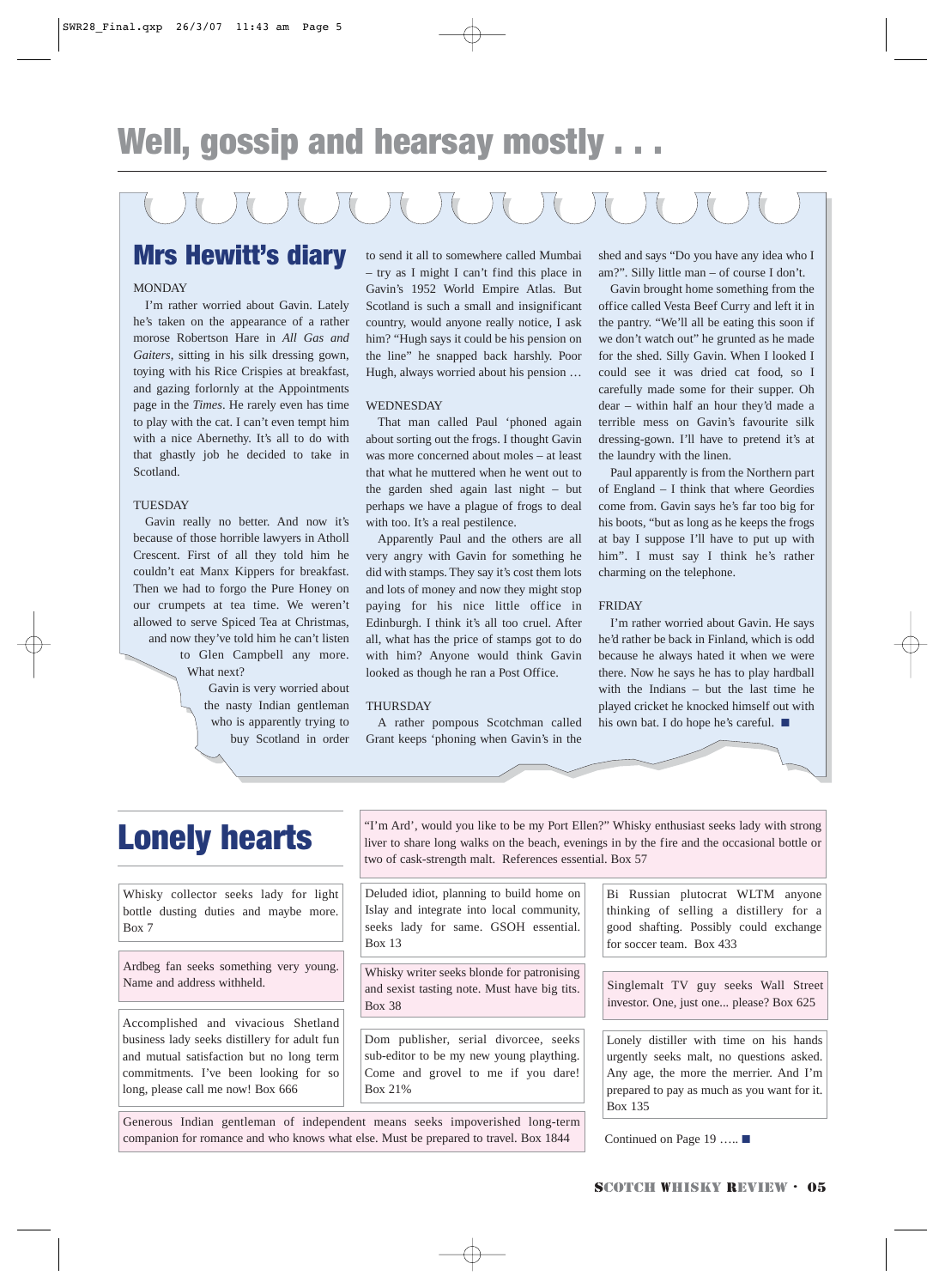## Well, gossip and hearsay mostly . . .

### Mrs Hewitt's diary

#### **MONDAY**

I'm rather worried about Gavin. Lately he's taken on the appearance of a rather morose Robertson Hare in *All Gas and Gaiters*, sitting in his silk dressing gown, toying with his Rice Crispies at breakfast, and gazing forlornly at the Appointments page in the *Times*. He rarely even has time to play with the cat. I can't even tempt him with a nice Abernethy. It's all to do with that ghastly job he decided to take in Scotland.

#### **TUESDAY**

Gavin really no better. And now it's because of those horrible lawyers in Atholl Crescent. First of all they told him he couldn't eat Manx Kippers for breakfast. Then we had to forgo the Pure Honey on our crumpets at tea time. We weren't allowed to serve Spiced Tea at Christmas,

and now they've told him he can't listen to Glen Campbell any more. What next?

> Gavin is very worried about the nasty Indian gentleman who is apparently trying to buy Scotland in order

to send it all to somewhere called Mumbai – try as I might I can't find this place in Gavin's 1952 World Empire Atlas. But Scotland is such a small and insignificant country, would anyone really notice, I ask him? "Hugh says it could be his pension on the line" he snapped back harshly. Poor Hugh, always worried about his pension …

#### WEDNESDAY

That man called Paul 'phoned again about sorting out the frogs. I thought Gavin was more concerned about moles – at least that what he muttered when he went out to the garden shed again last night – but perhaps we have a plague of frogs to deal with too. It's a real pestilence.

Apparently Paul and the others are all very angry with Gavin for something he did with stamps. They say it's cost them lots and lots of money and now they might stop paying for his nice little office in Edinburgh. I think it's all too cruel. After all, what has the price of stamps got to do with him? Anyone would think Gavin looked as though he ran a Post Office.

#### THURSDAY

A rather pompous Scotchman called Grant keeps 'phoning when Gavin's in the

Dom publisher, serial divorcee, seeks sub-editor to be my new young plaything. Come and grovel to me if you dare!

Whisky writer seeks blonde for patronising and sexist tasting note. Must have big tits.

two of cask-strength malt. References essential. Box 57

shed and says "Do you have any idea who I am?". Silly little man – of course I don't.

Gavin brought home something from the office called Vesta Beef Curry and left it in the pantry. "We'll all be eating this soon if we don't watch out" he grunted as he made for the shed. Silly Gavin. When I looked I could see it was dried cat food, so I carefully made some for their supper. Oh dear – within half an hour they'd made a terrible mess on Gavin's favourite silk dressing-gown. I'll have to pretend it's at the laundry with the linen.

Paul apparently is from the Northern part of England – I think that where Geordies come from. Gavin says he's far too big for his boots, "but as long as he keeps the frogs at bay I suppose I'll have to put up with him". I must say I think he's rather charming on the telephone.

#### FRIDAY

"I'm Ard', would you like to be my Port Ellen?" Whisky enthusiast seeks lady with strong liver to share long walks on the beach, evenings in by the fire and the occasional bottle or

I'm rather worried about Gavin. He says he'd rather be back in Finland, which is odd because he always hated it when we were there. Now he says he has to play hardball with the Indians – but the last time he played cricket he knocked himself out with his own bat. I do hope he's careful. ■

## Lonely hearts

Whisky collector seeks lady for light bottle dusting duties and maybe more. Box 7

Ardbeg fan seeks something very young. Name and address withheld.

Accomplished and vivacious Shetland business lady seeks distillery for adult fun and mutual satisfaction but no long term commitments. I've been looking for so long, please call me now! Box 666

Generous Indian gentleman of independent means seeks impoverished long-term companion for romance and who knows what else. Must be prepared to travel. Box 1844

Box 21%

Box 13

Box 38

Bi Russian plutocrat WLTM anyone thinking of selling a distillery for a good shafting. Possibly could exchange Deluded idiot, planning to build home on Islay and integrate into local community, seeks lady for same. GSOH essential.

for soccer team. Box 433

Singlemalt TV guy seeks Wall Street investor. One, just one... please? Box 625

Lonely distiller with time on his hands urgently seeks malt, no questions asked. Any age, the more the merrier. And I'm prepared to pay as much as you want for it. Box 135

Continued on Page 19 ….. ■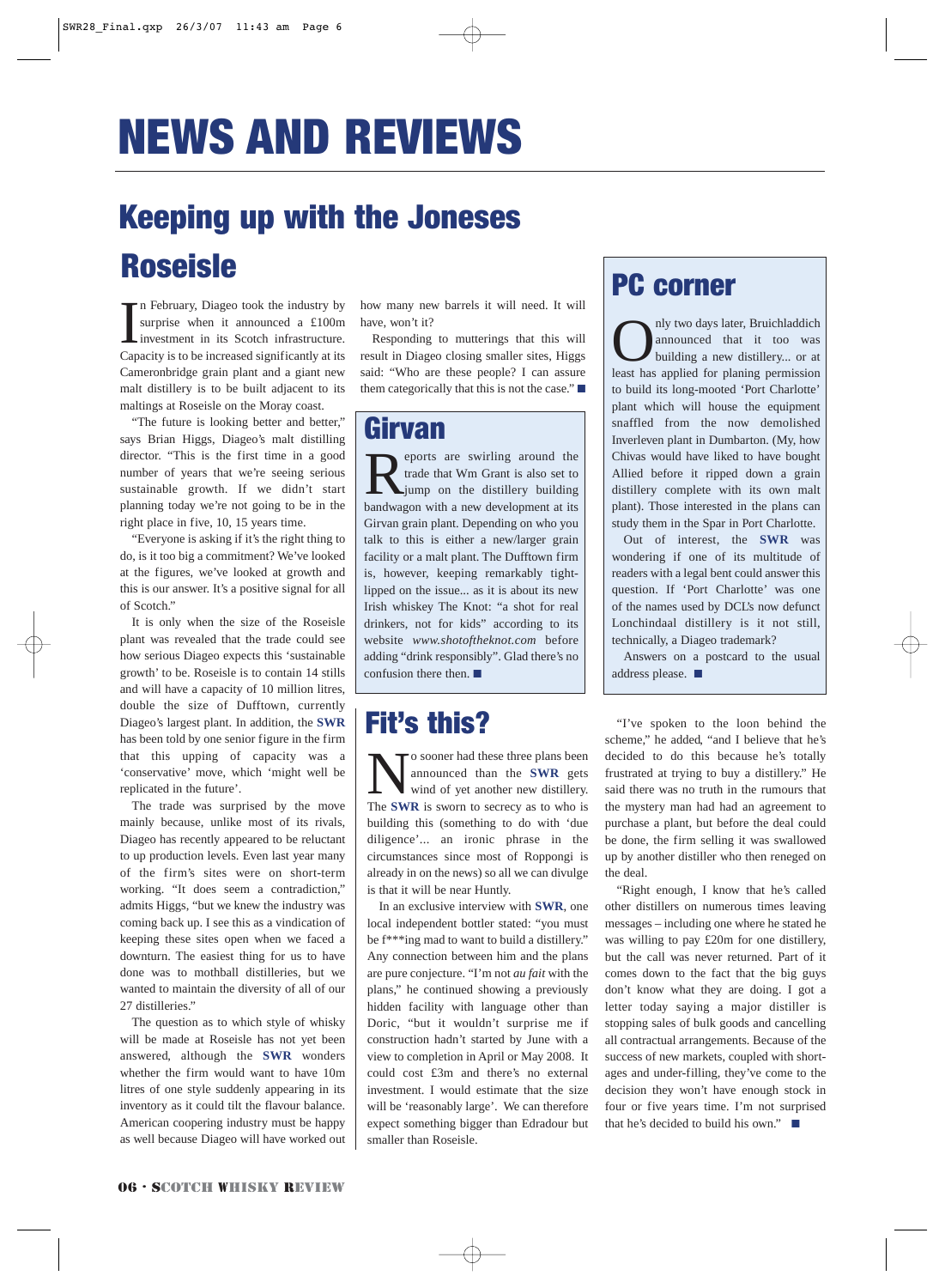## NEWS AND REVIEWS

## Keeping up with the Joneses Roseisle

In February, Diageo took the industry by<br>surprise when it announced a £100m<br>investment in its Scotch infrastructure.<br>Capacity is to be increased significantly at its n February, Diageo took the industry by surprise when it announced a £100m investment in its Scotch infrastructure. Cameronbridge grain plant and a giant new malt distillery is to be built adjacent to its maltings at Roseisle on the Moray coast.

"The future is looking better and better," says Brian Higgs, Diageo's malt distilling director. "This is the first time in a good number of years that we're seeing serious sustainable growth. If we didn't start planning today we're not going to be in the right place in five, 10, 15 years time.

"Everyone is asking if it's the right thing to do, is it too big a commitment? We've looked at the figures, we've looked at growth and this is our answer. It's a positive signal for all of Scotch."

It is only when the size of the Roseisle plant was revealed that the trade could see how serious Diageo expects this 'sustainable growth' to be. Roseisle is to contain 14 stills and will have a capacity of 10 million litres, double the size of Dufftown, currently Diageo's largest plant. In addition, the **SWR** has been told by one senior figure in the firm that this upping of capacity was a 'conservative' move, which 'might well be replicated in the future'.

The trade was surprised by the move mainly because, unlike most of its rivals, Diageo has recently appeared to be reluctant to up production levels. Even last year many of the firm's sites were on short-term working. "It does seem a contradiction," admits Higgs, "but we knew the industry was coming back up. I see this as a vindication of keeping these sites open when we faced a downturn. The easiest thing for us to have done was to mothball distilleries, but we wanted to maintain the diversity of all of our 27 distilleries."

The question as to which style of whisky will be made at Roseisle has not yet been answered, although the **SWR** wonders whether the firm would want to have 10m litres of one style suddenly appearing in its inventory as it could tilt the flavour balance. American coopering industry must be happy as well because Diageo will have worked out how many new barrels it will need. It will have, won't it?

Responding to mutterings that this will result in Diageo closing smaller sites, Higgs said: "Who are these people? I can assure them categorically that this is not the case." ■

### Girvan

**Reports** are swirling around the trade that Wm Grant is also set to jump on the distillery building bandwagon with a new development at its trade that Wm Grant is also set to jump on the distillery building bandwagon with a new development at its Girvan grain plant. Depending on who you talk to this is either a new/larger grain facility or a malt plant. The Dufftown firm is, however, keeping remarkably tightlipped on the issue... as it is about its new Irish whiskey The Knot: "a shot for real drinkers, not for kids" according to its website *www.shotoftheknot.com* before adding "drink responsibly". Glad there's no confusion there then. ■

### Fit's this?

No sooner had these three plans been<br>announced than the **SWR** gets<br>wind of yet another new distillery. announced than the **SWR** gets wind of yet another new distillery. The **SWR** is sworn to secrecy as to who is building this (something to do with 'due diligence'... an ironic phrase in the circumstances since most of Roppongi is already in on the news) so all we can divulge is that it will be near Huntly.

In an exclusive interview with **SWR**, one local independent bottler stated: "you must be f\*\*\*ing mad to want to build a distillery." Any connection between him and the plans are pure conjecture. "I'm not *au fait* with the plans," he continued showing a previously hidden facility with language other than Doric, "but it wouldn't surprise me if construction hadn't started by June with a view to completion in April or May 2008. It could cost £3m and there's no external investment. I would estimate that the size will be 'reasonably large'. We can therefore expect something bigger than Edradour but smaller than Roseisle.

### PC corner

only two days later, Bruichladdich<br>announced that it too was<br>building a new distillery... or at<br>least has annlied for planing permission announced that it too was building a new distillery... or at least has applied for planing permission to build its long-mooted 'Port Charlotte' plant which will house the equipment snaffled from the now demolished Inverleven plant in Dumbarton. (My, how Chivas would have liked to have bought Allied before it ripped down a grain distillery complete with its own malt plant). Those interested in the plans can study them in the Spar in Port Charlotte.

Out of interest, the **SWR** was wondering if one of its multitude of readers with a legal bent could answer this question. If 'Port Charlotte' was one of the names used by DCL's now defunct Lonchindaal distillery is it not still, technically, a Diageo trademark?

Answers on a postcard to the usual address please. ■

"I've spoken to the loon behind the scheme," he added, "and I believe that he's decided to do this because he's totally frustrated at trying to buy a distillery." He said there was no truth in the rumours that the mystery man had had an agreement to purchase a plant, but before the deal could be done, the firm selling it was swallowed up by another distiller who then reneged on the deal.

"Right enough, I know that he's called other distillers on numerous times leaving messages – including one where he stated he was willing to pay £20m for one distillery, but the call was never returned. Part of it comes down to the fact that the big guys don't know what they are doing. I got a letter today saying a major distiller is stopping sales of bulk goods and cancelling all contractual arrangements. Because of the success of new markets, coupled with shortages and under-filling, they've come to the decision they won't have enough stock in four or five years time. I'm not surprised that he's decided to build his own." ■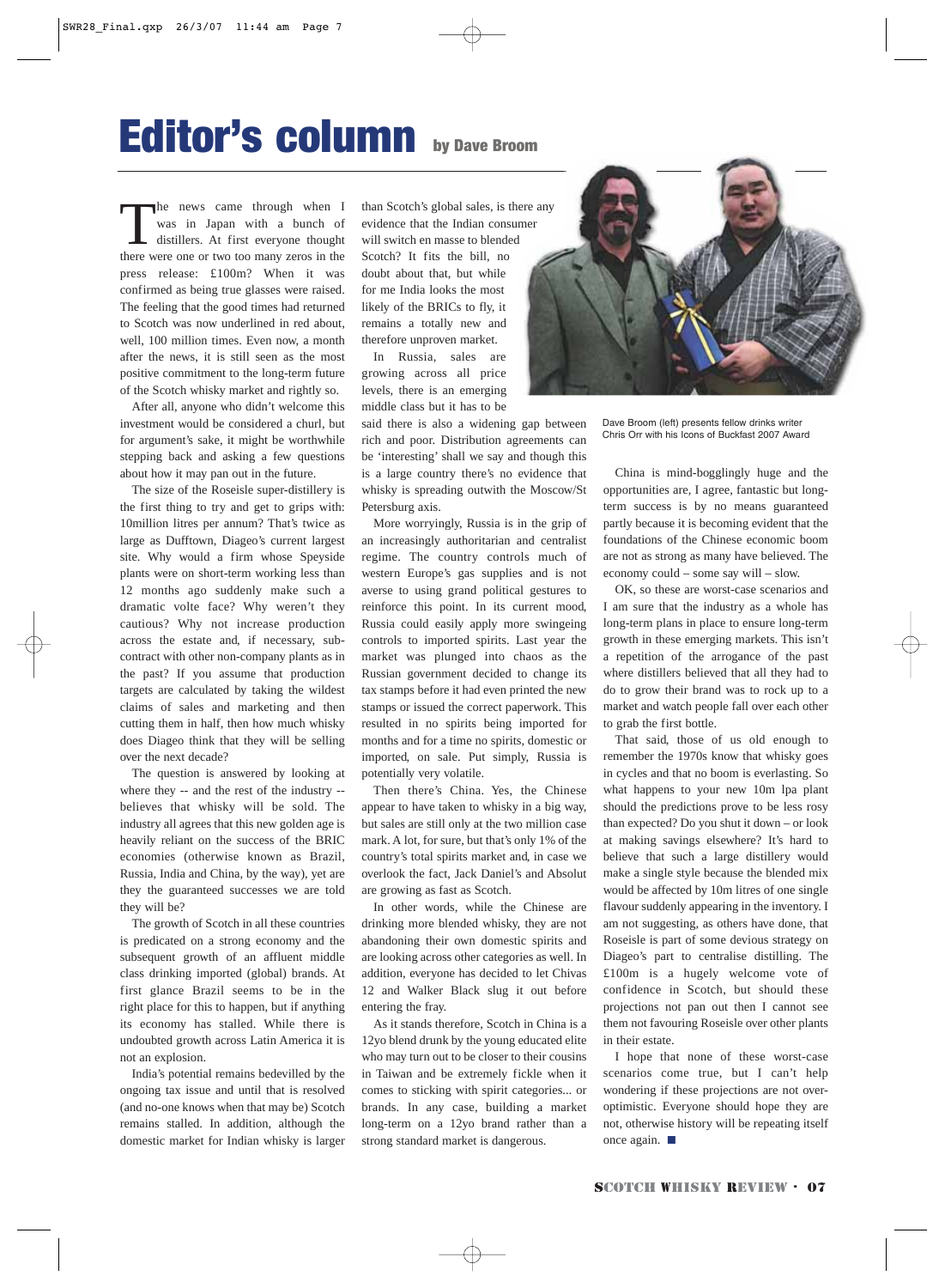## Editor's column by Dave Broom

The news came through when I<br>was in Japan with a bunch of<br>distillers. At first everyone thought<br>there were one or two too many zeros in the was in Japan with a bunch of distillers. At first everyone thought there were one or two too many zeros in the press release: £100m? When it was confirmed as being true glasses were raised. The feeling that the good times had returned to Scotch was now underlined in red about, well, 100 million times. Even now, a month after the news, it is still seen as the most positive commitment to the long-term future of the Scotch whisky market and rightly so.

After all, anyone who didn't welcome this investment would be considered a churl, but for argument's sake, it might be worthwhile stepping back and asking a few questions about how it may pan out in the future.

The size of the Roseisle super-distillery is the first thing to try and get to grips with: 10million litres per annum? That's twice as large as Dufftown, Diageo's current largest site. Why would a firm whose Speyside plants were on short-term working less than 12 months ago suddenly make such a dramatic volte face? Why weren't they cautious? Why not increase production across the estate and, if necessary, subcontract with other non-company plants as in the past? If you assume that production targets are calculated by taking the wildest claims of sales and marketing and then cutting them in half, then how much whisky does Diageo think that they will be selling over the next decade?

The question is answered by looking at where they -- and the rest of the industry - believes that whisky will be sold. The industry all agrees that this new golden age is heavily reliant on the success of the BRIC economies (otherwise known as Brazil, Russia, India and China, by the way), yet are they the guaranteed successes we are told they will be?

The growth of Scotch in all these countries is predicated on a strong economy and the subsequent growth of an affluent middle class drinking imported (global) brands. At first glance Brazil seems to be in the right place for this to happen, but if anything its economy has stalled. While there is undoubted growth across Latin America it is not an explosion.

India's potential remains bedevilled by the ongoing tax issue and until that is resolved (and no-one knows when that may be) Scotch remains stalled. In addition, although the domestic market for Indian whisky is larger

than Scotch's global sales, is there any evidence that the Indian consumer will switch en masse to blended Scotch? It fits the bill, no doubt about that, but while for me India looks the most likely of the BRICs to fly, it remains a totally new and therefore unproven market.

In Russia, sales are growing across all price levels, there is an emerging middle class but it has to be

said there is also a widening gap between rich and poor. Distribution agreements can be 'interesting' shall we say and though this is a large country there's no evidence that whisky is spreading outwith the Moscow/St Petersburg axis.

More worryingly, Russia is in the grip of an increasingly authoritarian and centralist regime. The country controls much of western Europe's gas supplies and is not averse to using grand political gestures to reinforce this point. In its current mood, Russia could easily apply more swingeing controls to imported spirits. Last year the market was plunged into chaos as the Russian government decided to change its tax stamps before it had even printed the new stamps or issued the correct paperwork. This resulted in no spirits being imported for months and for a time no spirits, domestic or imported, on sale. Put simply, Russia is potentially very volatile.

Then there's China. Yes, the Chinese appear to have taken to whisky in a big way, but sales are still only at the two million case mark. A lot, for sure, but that's only 1% of the country's total spirits market and, in case we overlook the fact, Jack Daniel's and Absolut are growing as fast as Scotch.

In other words, while the Chinese are drinking more blended whisky, they are not abandoning their own domestic spirits and are looking across other categories as well. In addition, everyone has decided to let Chivas 12 and Walker Black slug it out before entering the fray.

As it stands therefore, Scotch in China is a 12yo blend drunk by the young educated elite who may turn out to be closer to their cousins in Taiwan and be extremely fickle when it comes to sticking with spirit categories... or brands. In any case, building a market long-term on a 12yo brand rather than a strong standard market is dangerous.



Dave Broom (left) presents fellow drinks writer Chris Orr with his Icons of Buckfast 2007 Award

China is mind-bogglingly huge and the opportunities are, I agree, fantastic but longterm success is by no means guaranteed partly because it is becoming evident that the foundations of the Chinese economic boom are not as strong as many have believed. The economy could – some say will – slow.

OK, so these are worst-case scenarios and I am sure that the industry as a whole has long-term plans in place to ensure long-term growth in these emerging markets. This isn't a repetition of the arrogance of the past where distillers believed that all they had to do to grow their brand was to rock up to a market and watch people fall over each other to grab the first bottle.

That said, those of us old enough to remember the 1970s know that whisky goes in cycles and that no boom is everlasting. So what happens to your new 10m lpa plant should the predictions prove to be less rosy than expected? Do you shut it down – or look at making savings elsewhere? It's hard to believe that such a large distillery would make a single style because the blended mix would be affected by 10m litres of one single flavour suddenly appearing in the inventory. I am not suggesting, as others have done, that Roseisle is part of some devious strategy on Diageo's part to centralise distilling. The £100m is a hugely welcome vote of confidence in Scotch, but should these projections not pan out then I cannot see them not favouring Roseisle over other plants in their estate.

I hope that none of these worst-case scenarios come true, but I can't help wondering if these projections are not overoptimistic. Everyone should hope they are not, otherwise history will be repeating itself once again. ■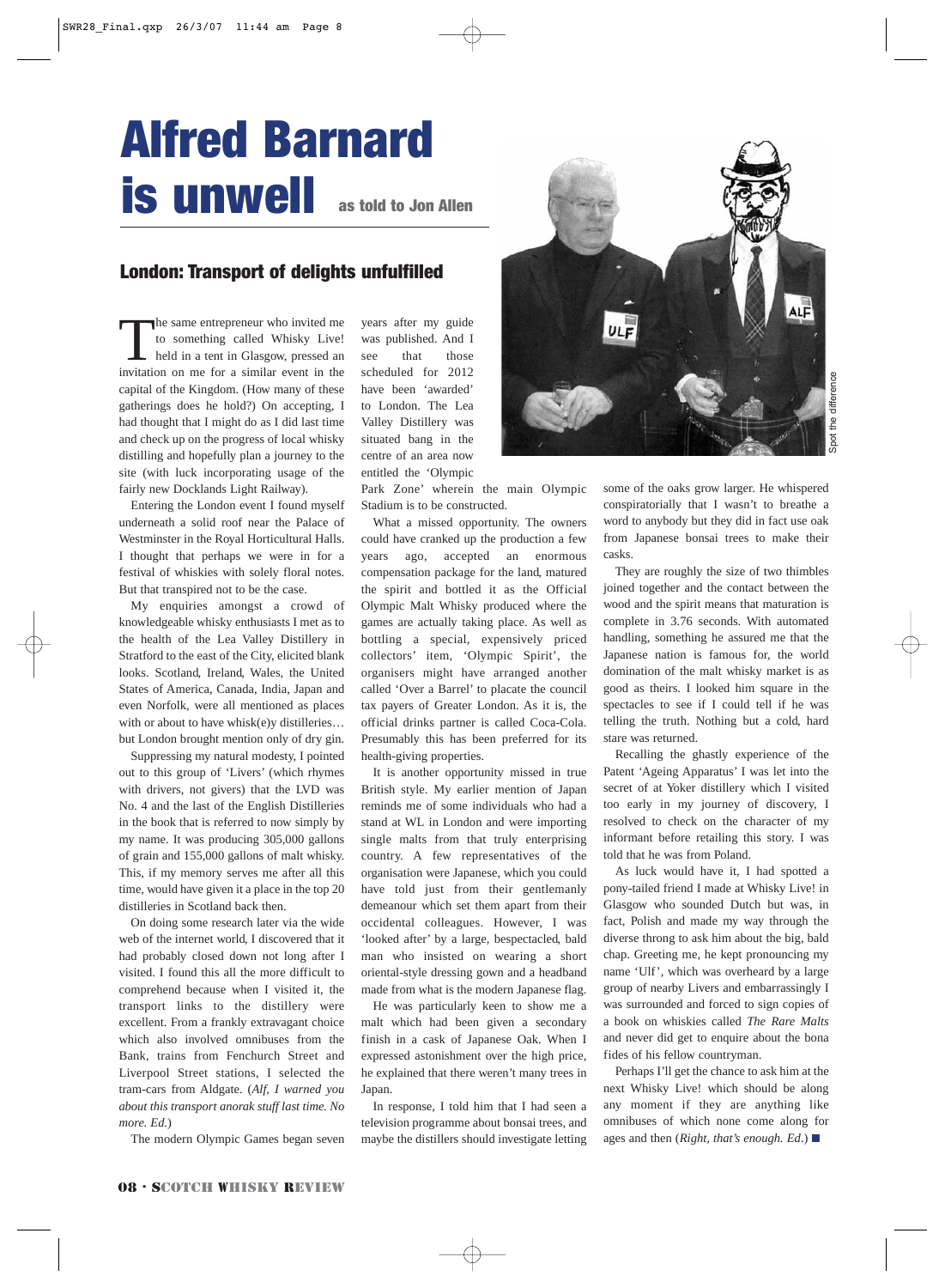## Alfred Barnard is unwell as told to Jon Allen

### London: Transport of delights unfulfilled

the same entrepreneur who invited me to something called Whisky Live! held in a tent in Glasgow, pressed an invitation on me for a similar event in the capital of the Kingdom. (How many of these gatherings does he hold?) On accepting, I had thought that I might do as I did last time and check up on the progress of local whisky distilling and hopefully plan a journey to the site (with luck incorporating usage of the fairly new Docklands Light Railway).

Entering the London event I found myself underneath a solid roof near the Palace of Westminster in the Royal Horticultural Halls. I thought that perhaps we were in for a festival of whiskies with solely floral notes. But that transpired not to be the case.

My enquiries amongst a crowd of knowledgeable whisky enthusiasts I met as to the health of the Lea Valley Distillery in Stratford to the east of the City, elicited blank looks. Scotland, Ireland, Wales, the United States of America, Canada, India, Japan and even Norfolk, were all mentioned as places with or about to have whisk(e)y distilleries... but London brought mention only of dry gin.

Suppressing my natural modesty, I pointed out to this group of 'Livers' (which rhymes with drivers, not givers) that the LVD was No. 4 and the last of the English Distilleries in the book that is referred to now simply by my name. It was producing 305,000 gallons of grain and 155,000 gallons of malt whisky. This, if my memory serves me after all this time, would have given it a place in the top 20 distilleries in Scotland back then.

On doing some research later via the wide web of the internet world, I discovered that it had probably closed down not long after I visited. I found this all the more difficult to comprehend because when I visited it, the transport links to the distillery were excellent. From a frankly extravagant choice which also involved omnibuses from the Bank, trains from Fenchurch Street and Liverpool Street stations, I selected the tram-cars from Aldgate. (*Alf, I warned you about this transport anorak stuff last time. No more. Ed.*)

The modern Olympic Games began seven

years after my guide was published. And I see that those scheduled for 2012 have been 'awarded' to London. The Lea Valley Distillery was situated bang in the centre of an area now entitled the 'Olympic

Park Zone' wherein the main Olympic Stadium is to be constructed.

What a missed opportunity. The owners could have cranked up the production a few years ago, accepted an enormous compensation package for the land, matured the spirit and bottled it as the Official Olympic Malt Whisky produced where the games are actually taking place. As well as bottling a special, expensively priced collectors' item, 'Olympic Spirit', the organisers might have arranged another called 'Over a Barrel' to placate the council tax payers of Greater London. As it is, the official drinks partner is called Coca-Cola. Presumably this has been preferred for its health-giving properties.

It is another opportunity missed in true British style. My earlier mention of Japan reminds me of some individuals who had a stand at WL in London and were importing single malts from that truly enterprising country. A few representatives of the organisation were Japanese, which you could have told just from their gentlemanly demeanour which set them apart from their occidental colleagues. However, I was 'looked after' by a large, bespectacled, bald man who insisted on wearing a short oriental-style dressing gown and a headband made from what is the modern Japanese flag.

He was particularly keen to show me a malt which had been given a secondary finish in a cask of Japanese Oak. When I expressed astonishment over the high price, he explained that there weren't many trees in **Japan** 

In response, I told him that I had seen a television programme about bonsai trees, and maybe the distillers should investigate letting



some of the oaks grow larger. He whispered conspiratorially that I wasn't to breathe a word to anybody but they did in fact use oak from Japanese bonsai trees to make their casks.

They are roughly the size of two thimbles joined together and the contact between the wood and the spirit means that maturation is complete in 3.76 seconds. With automated handling, something he assured me that the Japanese nation is famous for, the world domination of the malt whisky market is as good as theirs. I looked him square in the spectacles to see if I could tell if he was telling the truth. Nothing but a cold, hard stare was returned.

Recalling the ghastly experience of the Patent 'Ageing Apparatus' I was let into the secret of at Yoker distillery which I visited too early in my journey of discovery, I resolved to check on the character of my informant before retailing this story. I was told that he was from Poland.

As luck would have it, I had spotted a pony-tailed friend I made at Whisky Live! in Glasgow who sounded Dutch but was, in fact, Polish and made my way through the diverse throng to ask him about the big, bald chap. Greeting me, he kept pronouncing my name 'Ulf', which was overheard by a large group of nearby Livers and embarrassingly I was surrounded and forced to sign copies of a book on whiskies called *The Rare Malts* and never did get to enquire about the bona fides of his fellow countryman.

Perhaps I'll get the chance to ask him at the next Whisky Live! which should be along any moment if they are anything like omnibuses of which none come along for ages and then (*Right, that's enough. Ed*.) ■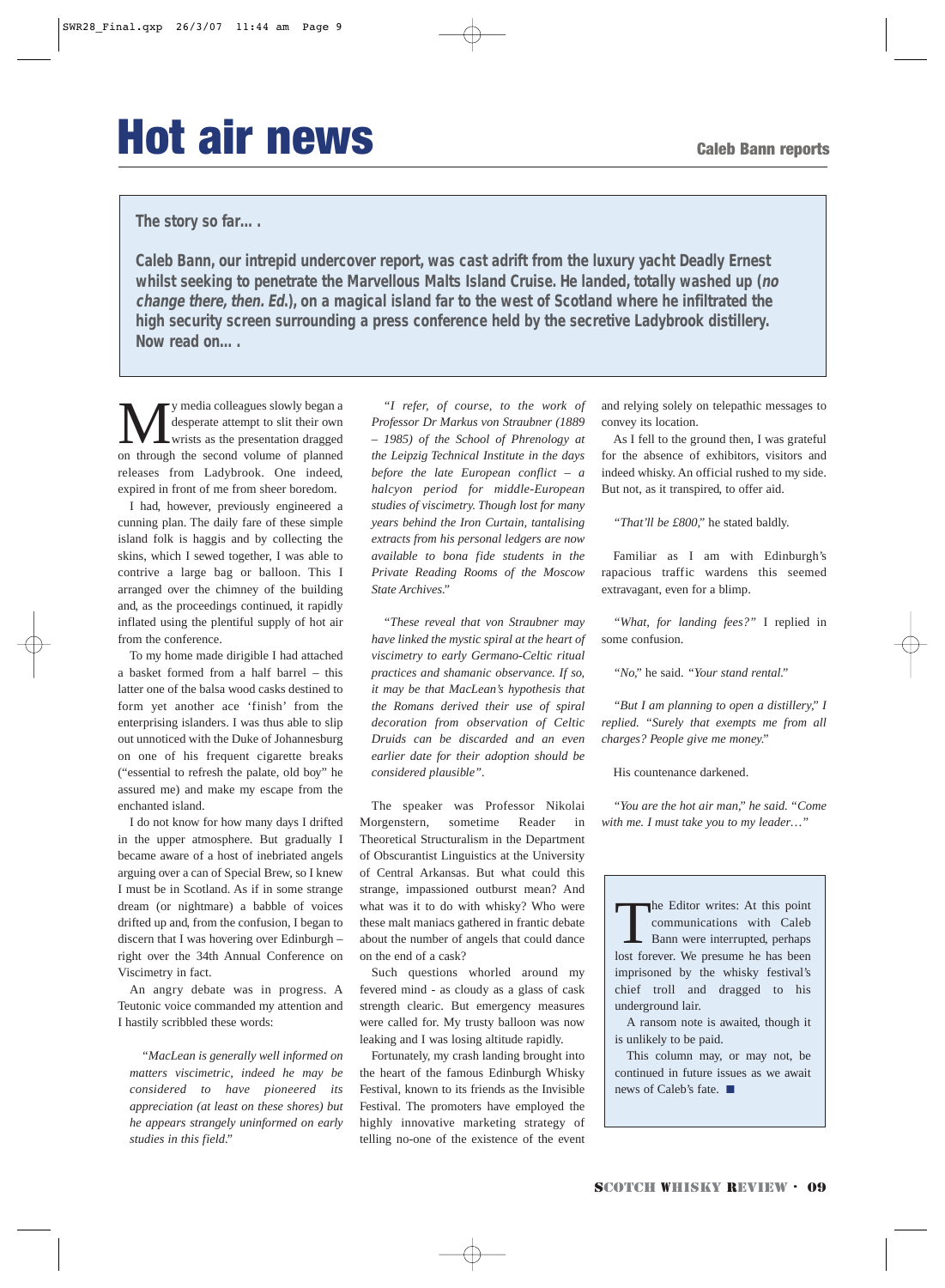## **Hot air news** Caleb Bann reports

### **The story so far….**

**Caleb Bann, our intrepid undercover report, was cast adrift from the luxury yacht Deadly Ernest whilst seeking to penetrate the Marvellous Malts Island Cruise. He landed, totally washed up (no change there, then. Ed.), on a magical island far to the west of Scotland where he infiltrated the high security screen surrounding a press conference held by the secretive Ladybrook distillery. Now read on….**

y media colleagues slowly began a desperate attempt to slit their own wrists as the presentation dragged on through the second volume of planned releases from Ladybrook. One indeed, expired in front of me from sheer boredom.

I had, however, previously engineered a cunning plan. The daily fare of these simple island folk is haggis and by collecting the skins, which I sewed together, I was able to contrive a large bag or balloon. This I arranged over the chimney of the building and, as the proceedings continued, it rapidly inflated using the plentiful supply of hot air from the conference.

To my home made dirigible I had attached a basket formed from a half barrel – this latter one of the balsa wood casks destined to form yet another ace 'finish' from the enterprising islanders. I was thus able to slip out unnoticed with the Duke of Johannesburg on one of his frequent cigarette breaks ("essential to refresh the palate, old boy" he assured me) and make my escape from the enchanted island.

I do not know for how many days I drifted in the upper atmosphere. But gradually I became aware of a host of inebriated angels arguing over a can of Special Brew, so I knew I must be in Scotland. As if in some strange dream (or nightmare) a babble of voices drifted up and, from the confusion, I began to discern that I was hovering over Edinburgh – right over the 34th Annual Conference on Viscimetry in fact.

An angry debate was in progress. A Teutonic voice commanded my attention and I hastily scribbled these words:

*"MacLean is generally well informed on matters viscimetric, indeed he may be considered to have pioneered its appreciation (at least on these shores) but he appears strangely uninformed on early studies in this field."*

*"I refer, of course, to the work of Professor Dr Markus von Straubner (1889 – 1985) of the School of Phrenology at the Leipzig Technical Institute in the days before the late European conflict – a halcyon period for middle-European studies of viscimetry. Though lost for many years behind the Iron Curtain, tantalising extracts from his personal ledgers are now available to bona fide students in the Private Reading Rooms of the Moscow State Archives."* 

*"These reveal that von Straubner may have linked the mystic spiral at the heart of viscimetry to early Germano-Celtic ritual practices and shamanic observance. If so, it may be that MacLean's hypothesis that the Romans derived their use of spiral decoration from observation of Celtic Druids can be discarded and an even earlier date for their adoption should be considered plausible".*

The speaker was Professor Nikolai Morgenstern, sometime Reader in Theoretical Structuralism in the Department of Obscurantist Linguistics at the University of Central Arkansas. But what could this strange, impassioned outburst mean? And what was it to do with whisky? Who were these malt maniacs gathered in frantic debate about the number of angels that could dance on the end of a cask?

Such questions whorled around my fevered mind - as cloudy as a glass of cask strength clearic. But emergency measures were called for. My trusty balloon was now leaking and I was losing altitude rapidly.

Fortunately, my crash landing brought into the heart of the famous Edinburgh Whisky Festival, known to its friends as the Invisible Festival. The promoters have employed the highly innovative marketing strategy of telling no-one of the existence of the event

and relying solely on telepathic messages to convey its location.

As I fell to the ground then, I was grateful for the absence of exhibitors, visitors and indeed whisky. An official rushed to my side. But not, as it transpired, to offer aid.

*"That'll be £800,"* he stated baldly.

Familiar as I am with Edinburgh's rapacious traffic wardens this seemed extravagant, even for a blimp.

*"What, for landing fees?"* I replied in some confusion.

*"No,"* he said. *"Your stand rental."*

*"But I am planning to open a distillery," I replied. "Surely that exempts me from all charges? People give me money."*

His countenance darkened.

*"You are the hot air man," he said. "Come with me. I must take you to my leader…"*

The Editor writes: At this point<br>communications with Caleb<br>Bann were interrupted, perhaps<br>lost forever. We presume be has been communications with Caleb Bann were interrupted, perhaps lost forever. We presume he has been imprisoned by the whisky festival's chief troll and dragged to his underground lair.

A ransom note is awaited, though it is unlikely to be paid.

This column may, or may not, be continued in future issues as we await news of Caleb's fate. ■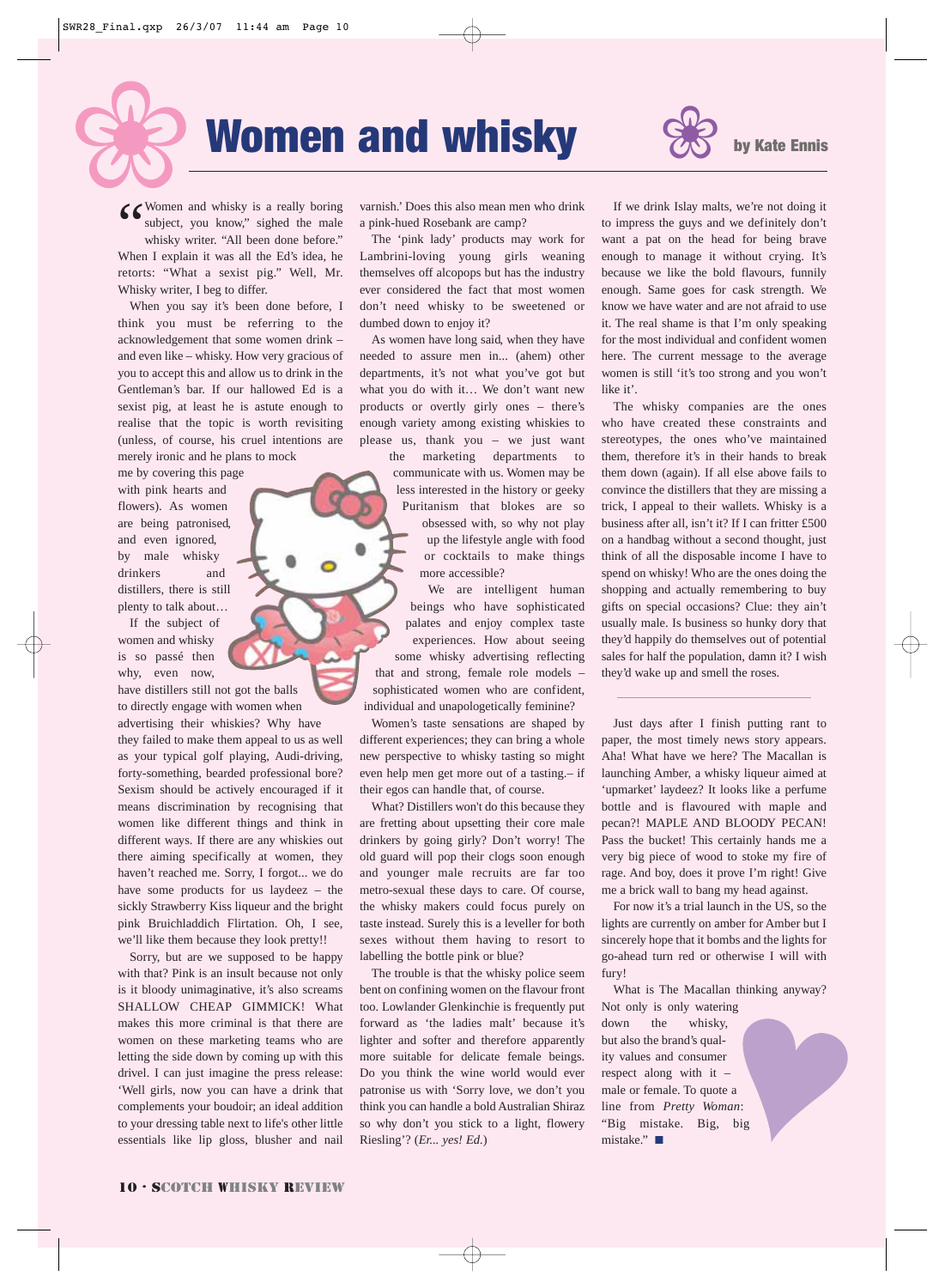



G Women and whisky is a really boring<br>
subject, you know," sighed the male<br>
whisky writer. "All been done before."<br>
When I explain it was all the Ed's idea he subject, you know," sighed the male whisky writer. "All been done before." When I explain it was all the Ed's idea, he retorts: "What a sexist pig." Well, Mr. Whisky writer, I beg to differ.

When you say it's been done before, I think you must be referring to the acknowledgement that some women drink – and even like – whisky. How very gracious of you to accept this and allow us to drink in the Gentleman's bar. If our hallowed Ed is a sexist pig, at least he is astute enough to realise that the topic is worth revisiting (unless, of course, his cruel intentions are merely ironic and he plans to mock

me by covering this page with pink hearts and flowers). As women are being patronised, and even ignored, by male whisky drinkers and distillers, there is still plenty to talk about…

If the subject of women and whisky is so passé then why, even now,

have distillers still not got the balls to directly engage with women when advertising their whiskies? Why have they failed to make them appeal to us as well as your typical golf playing, Audi-driving, forty-something, bearded professional bore? Sexism should be actively encouraged if it means discrimination by recognising that women like different things and think in different ways. If there are any whiskies out there aiming specifically at women, they haven't reached me. Sorry, I forgot... we do have some products for us laydeez – the sickly Strawberry Kiss liqueur and the bright pink Bruichladdich Flirtation. Oh, I see, we'll like them because they look pretty!!

Sorry, but are we supposed to be happy with that? Pink is an insult because not only is it bloody unimaginative, it's also screams SHALLOW CHEAP GIMMICK! What makes this more criminal is that there are women on these marketing teams who are letting the side down by coming up with this drivel. I can just imagine the press release: 'Well girls, now you can have a drink that complements your boudoir; an ideal addition to your dressing table next to life's other little essentials like lip gloss, blusher and nail

varnish.' Does this also mean men who drink a pink-hued Rosebank are camp?

The 'pink lady' products may work for Lambrini-loving young girls weaning themselves off alcopops but has the industry ever considered the fact that most women don't need whisky to be sweetened or dumbed down to enjoy it?

As women have long said, when they have needed to assure men in... (ahem) other departments, it's not what you've got but what you do with it… We don't want new products or overtly girly ones – there's enough variety among existing whiskies to please us, thank you – we just want

the marketing departments to communicate with us. Women may be less interested in the history or geeky Puritanism that blokes are so obsessed with, so why not play up the lifestyle angle with food or cocktails to make things more accessible?

We are intelligent human beings who have sophisticated palates and enjoy complex taste experiences. How about seeing some whisky advertising reflecting that and strong, female role models – sophisticated women who are confident, individual and unapologetically feminine?

Women's taste sensations are shaped by different experiences; they can bring a whole new perspective to whisky tasting so might even help men get more out of a tasting.– if their egos can handle that, of course.

What? Distillers won't do this because they are fretting about upsetting their core male drinkers by going girly? Don't worry! The old guard will pop their clogs soon enough and younger male recruits are far too metro-sexual these days to care. Of course, the whisky makers could focus purely on taste instead. Surely this is a leveller for both sexes without them having to resort to labelling the bottle pink or blue?

The trouble is that the whisky police seem bent on confining women on the flavour front too. Lowlander Glenkinchie is frequently put forward as 'the ladies malt' because it's lighter and softer and therefore apparently more suitable for delicate female beings. Do you think the wine world would ever patronise us with 'Sorry love, we don't you think you can handle a bold Australian Shiraz so why don't you stick to a light, flowery Riesling'? (*Er... yes! Ed.*)

If we drink Islay malts, we're not doing it to impress the guys and we definitely don't want a pat on the head for being brave enough to manage it without crying. It's because we like the bold flavours, funnily enough. Same goes for cask strength. We know we have water and are not afraid to use it. The real shame is that I'm only speaking for the most individual and confident women here. The current message to the average women is still 'it's too strong and you won't like it'.

The whisky companies are the ones who have created these constraints and stereotypes, the ones who've maintained them, therefore it's in their hands to break them down (again). If all else above fails to convince the distillers that they are missing a trick, I appeal to their wallets. Whisky is a business after all, isn't it? If I can fritter £500 on a handbag without a second thought, just think of all the disposable income I have to spend on whisky! Who are the ones doing the shopping and actually remembering to buy gifts on special occasions? Clue: they ain't usually male. Is business so hunky dory that they'd happily do themselves out of potential sales for half the population, damn it? I wish they'd wake up and smell the roses.

Just days after I finish putting rant to paper, the most timely news story appears. Aha! What have we here? The Macallan is launching Amber, a whisky liqueur aimed at 'upmarket' laydeez? It looks like a perfume bottle and is flavoured with maple and pecan?! MAPLE AND BLOODY PECAN! Pass the bucket! This certainly hands me a very big piece of wood to stoke my fire of rage. And boy, does it prove I'm right! Give me a brick wall to bang my head against.

For now it's a trial launch in the US, so the lights are currently on amber for Amber but I sincerely hope that it bombs and the lights for go-ahead turn red or otherwise I will with fury!

What is The Macallan thinking anyway?

Not only is only watering down the whisky, but also the brand's quality values and consumer respect along with it – male or female. To quote a line from *Pretty Woman*: "Big mistake. Big, big mistake." ■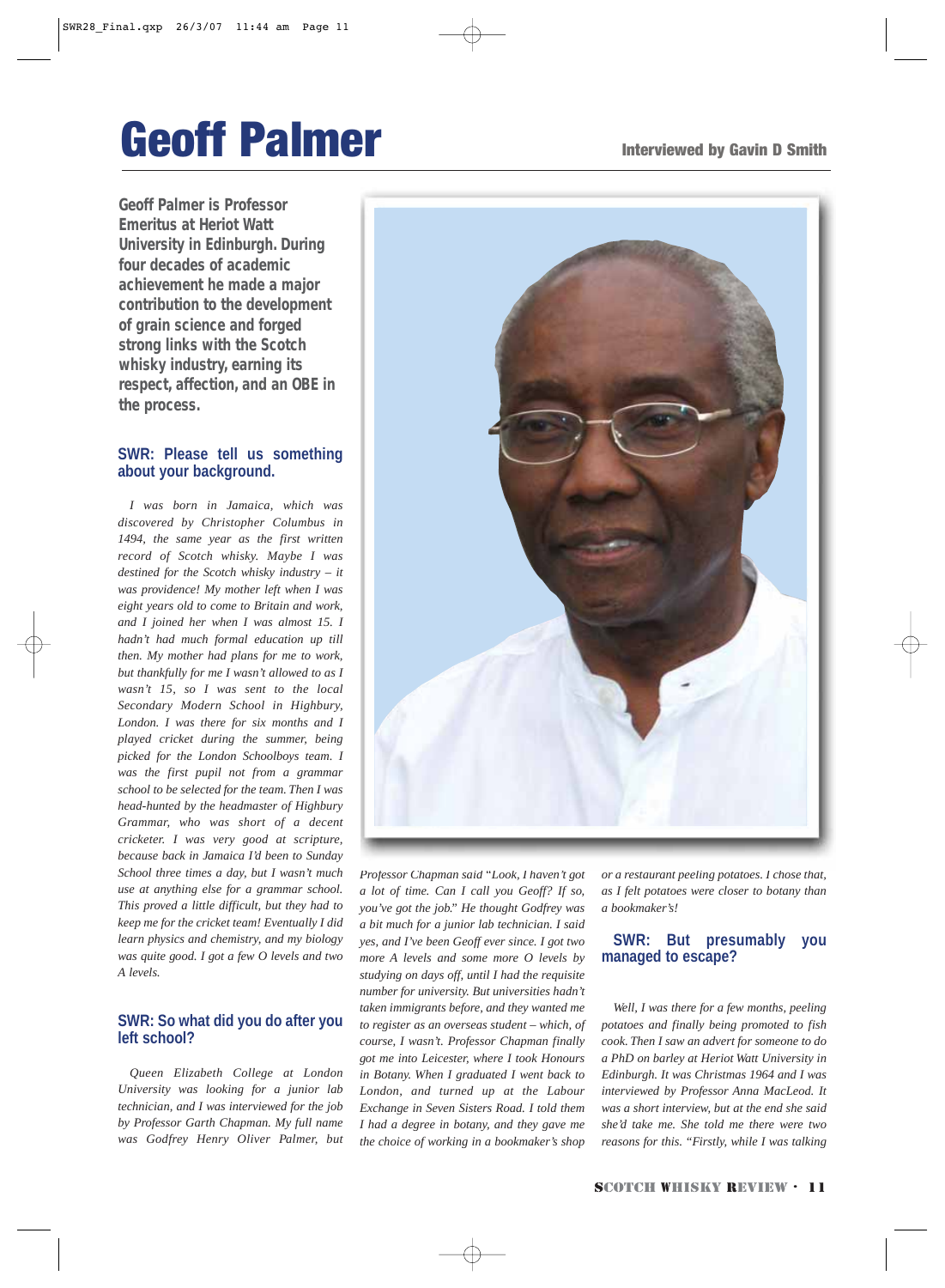## Geoff Palmer

**Geoff Palmer is Professor Emeritus at Heriot Watt University in Edinburgh. During four decades of academic achievement he made a major contribution to the development of grain science and forged strong links with the Scotch whisky industry, earning its respect, affection, and an OBE in the process.**

### **SWR: Please tell us something about your background.**

*I was born in Jamaica, which was discovered by Christopher Columbus in 1494, the same year as the first written record of Scotch whisky. Maybe I was destined for the Scotch whisky industry – it was providence! My mother left when I was eight years old to come to Britain and work, and I joined her when I was almost 15. I hadn't had much formal education up till then. My mother had plans for me to work, but thankfully for me I wasn't allowed to as I wasn't 15, so I was sent to the local Secondary Modern School in Highbury, London. I was there for six months and I played cricket during the summer, being picked for the London Schoolboys team. I was the first pupil not from a grammar school to be selected for the team. Then I was head-hunted by the headmaster of Highbury Grammar, who was short of a decent cricketer. I was very good at scripture, because back in Jamaica I'd been to Sunday School three times a day, but I wasn't much use at anything else for a grammar school. This proved a little difficult, but they had to keep me for the cricket team! Eventually I did learn physics and chemistry, and my biology was quite good. I got a few O levels and two A levels.*

### **SWR: So what did you do after you left school?**

*Queen Elizabeth College at London University was looking for a junior lab technician, and I was interviewed for the job by Professor Garth Chapman. My full name was Godfrey Henry Oliver Palmer, but*



*Professor Chapman said "Look, I haven't got a lot of time. Can I call you Geoff? If so, you've got the job." He thought Godfrey was a bit much for a junior lab technician. I said yes, and I've been Geoff ever since. I got two more A levels and some more O levels by studying on days off, until I had the requisite number for university. But universities hadn't taken immigrants before, and they wanted me to register as an overseas student – which, of course, I wasn't. Professor Chapman finally got me into Leicester, where I took Honours in Botany. When I graduated I went back to London, and turned up at the Labour Exchange in Seven Sisters Road. I told them I had a degree in botany, and they gave me the choice of working in a bookmaker's shop*

*or a restaurant peeling potatoes. I chose that, as I felt potatoes were closer to botany than a bookmaker's!*

### **SWR: But presumably you managed to escape?**

*Well, I was there for a few months, peeling potatoes and finally being promoted to fish cook. Then I saw an advert for someone to do a PhD on barley at Heriot Watt University in Edinburgh. It was Christmas 1964 and I was interviewed by Professor Anna MacLeod. It was a short interview, but at the end she said she'd take me. She told me there were two reasons for this. "Firstly, while I was talking*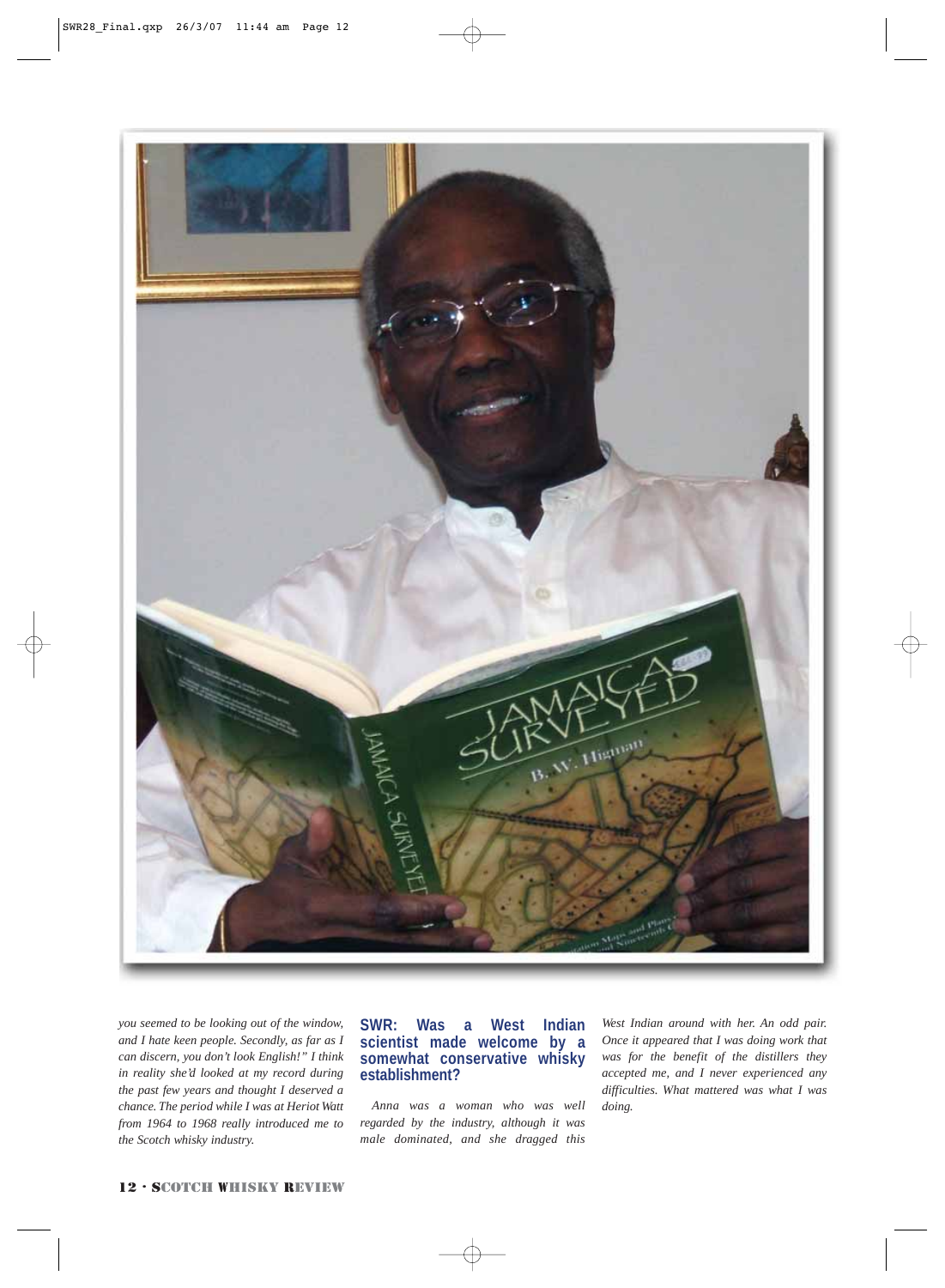

*you seemed to be looking out of the window, and I hate keen people. Secondly, as far as I can discern, you don't look English!" I think in reality she'd looked at my record during the past few years and thought I deserved a chance. The period while I was at Heriot Watt from 1964 to 1968 really introduced me to the Scotch whisky industry.*

### **SWR: Was a West Indian scientist made welcome by a somewhat conservative whisky establishment?**

*Anna was a woman who was well regarded by the industry, although it was male dominated, and she dragged this* 

*West Indian around with her. An odd pair. Once it appeared that I was doing work that was for the benefit of the distillers they accepted me, and I never experienced any difficulties. What mattered was what I was doing.*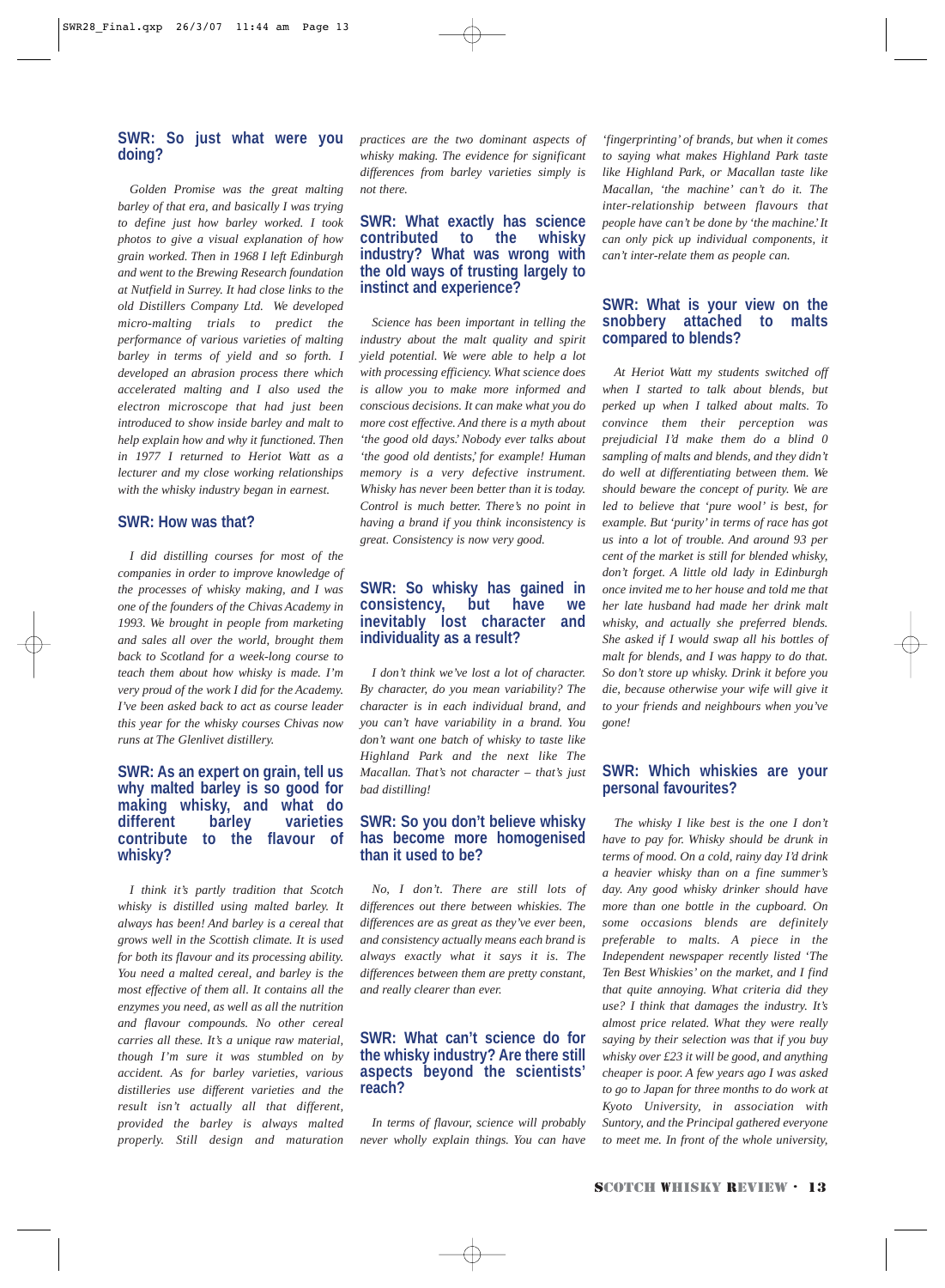### **SWR: So just what were you doing?**

*Golden Promise was the great malting barley of that era, and basically I was trying to define just how barley worked. I took photos to give a visual explanation of how grain worked. Then in 1968 I left Edinburgh and went to the Brewing Research foundation at Nutfield in Surrey. It had close links to the old Distillers Company Ltd. We developed micro-malting trials to predict the performance of various varieties of malting barley in terms of yield and so forth. I developed an abrasion process there which accelerated malting and I also used the electron microscope that had just been introduced to show inside barley and malt to help explain how and why it functioned. Then in 1977 I returned to Heriot Watt as a lecturer and my close working relationships with the whisky industry began in earnest.* 

### **SWR: How was that?**

*I did distilling courses for most of the companies in order to improve knowledge of the processes of whisky making, and I was one of the founders of the Chivas Academy in 1993. We brought in people from marketing and sales all over the world, brought them back to Scotland for a week-long course to teach them about how whisky is made. I'm very proud of the work I did for the Academy. I've been asked back to act as course leader this year for the whisky courses Chivas now runs at The Glenlivet distillery.*

### **SWR: As an expert on grain, tell us why malted barley is so good for making whisky, and what do different barley varieties contribute to the flavour of whisky?**

*I think it's partly tradition that Scotch whisky is distilled using malted barley. It always has been! And barley is a cereal that grows well in the Scottish climate. It is used for both its flavour and its processing ability. You need a malted cereal, and barley is the most effective of them all. It contains all the enzymes you need, as well as all the nutrition and flavour compounds. No other cereal carries all these. It's a unique raw material, though I'm sure it was stumbled on by accident. As for barley varieties, various distilleries use different varieties and the result isn't actually all that different, provided the barley is always malted properly. Still design and maturation*  *practices are the two dominant aspects of whisky making. The evidence for significant differences from barley varieties simply is not there.*

### **SWR: What exactly has science contributed to the whisky industry? What was wrong with the old ways of trusting largely to instinct and experience?**

*Science has been important in telling the industry about the malt quality and spirit yield potential. We were able to help a lot with processing efficiency. What science does is allow you to make more informed and conscious decisions. It can make what you do more cost effective. And there is a myth about 'the good old days.' Nobody ever talks about 'the good old dentists,' for example! Human memory is a very defective instrument. Whisky has never been better than it is today. Control is much better. There's no point in having a brand if you think inconsistency is great. Consistency is now very good.* 

### **SWR: So whisky has gained in consistency, but have we inevitably lost character and individuality as a result?**

*I don't think we've lost a lot of character. By character, do you mean variability? The character is in each individual brand, and you can't have variability in a brand. You don't want one batch of whisky to taste like Highland Park and the next like The Macallan. That's not character – that's just bad distilling!* 

### **SWR: So you don't believe whisky has become more homogenised than it used to be?**

*No, I don't. There are still lots of differences out there between whiskies. The differences are as great as they've ever been, and consistency actually means each brand is always exactly what it says it is. The differences between them are pretty constant, and really clearer than ever.* 

### **SWR: What can't science do for the whisky industry? Are there still aspects beyond the scientists' reach?**

*In terms of flavour, science will probably never wholly explain things. You can have*

*'fingerprinting' of brands, but when it comes to saying what makes Highland Park taste like Highland Park, or Macallan taste like Macallan, 'the machine' can't do it. The inter-relationship between flavours that people have can't be done by 'the machine.' It can only pick up individual components, it can't inter-relate them as people can.* 

### **SWR: What is your view on the snobbery attached to malts compared to blends?**

*At Heriot Watt my students switched off when I started to talk about blends, but perked up when I talked about malts. To convince them their perception was prejudicial I'd make them do a blind 0 sampling of malts and blends, and they didn't do well at differentiating between them. We should beware the concept of purity. We are led to believe that 'pure wool' is best, for example. But 'purity' in terms of race has got us into a lot of trouble. And around 93 per cent of the market is still for blended whisky, don't forget. A little old lady in Edinburgh once invited me to her house and told me that her late husband had made her drink malt whisky, and actually she preferred blends. She asked if I would swap all his bottles of malt for blends, and I was happy to do that. So don't store up whisky. Drink it before you die, because otherwise your wife will give it to your friends and neighbours when you've gone!*

### **SWR: Which whiskies are your personal favourites?**

*The whisky I like best is the one I don't have to pay for. Whisky should be drunk in terms of mood. On a cold, rainy day I'd drink a heavier whisky than on a fine summer's day. Any good whisky drinker should have more than one bottle in the cupboard. On some occasions blends are definitely preferable to malts. A piece in the Independent newspaper recently listed 'The Ten Best Whiskies' on the market, and I find that quite annoying. What criteria did they use? I think that damages the industry. It's almost price related. What they were really saying by their selection was that if you buy whisky over £23 it will be good, and anything cheaper is poor. A few years ago I was asked to go to Japan for three months to do work at Kyoto University, in association with Suntory, and the Principal gathered everyone to meet me. In front of the whole university,*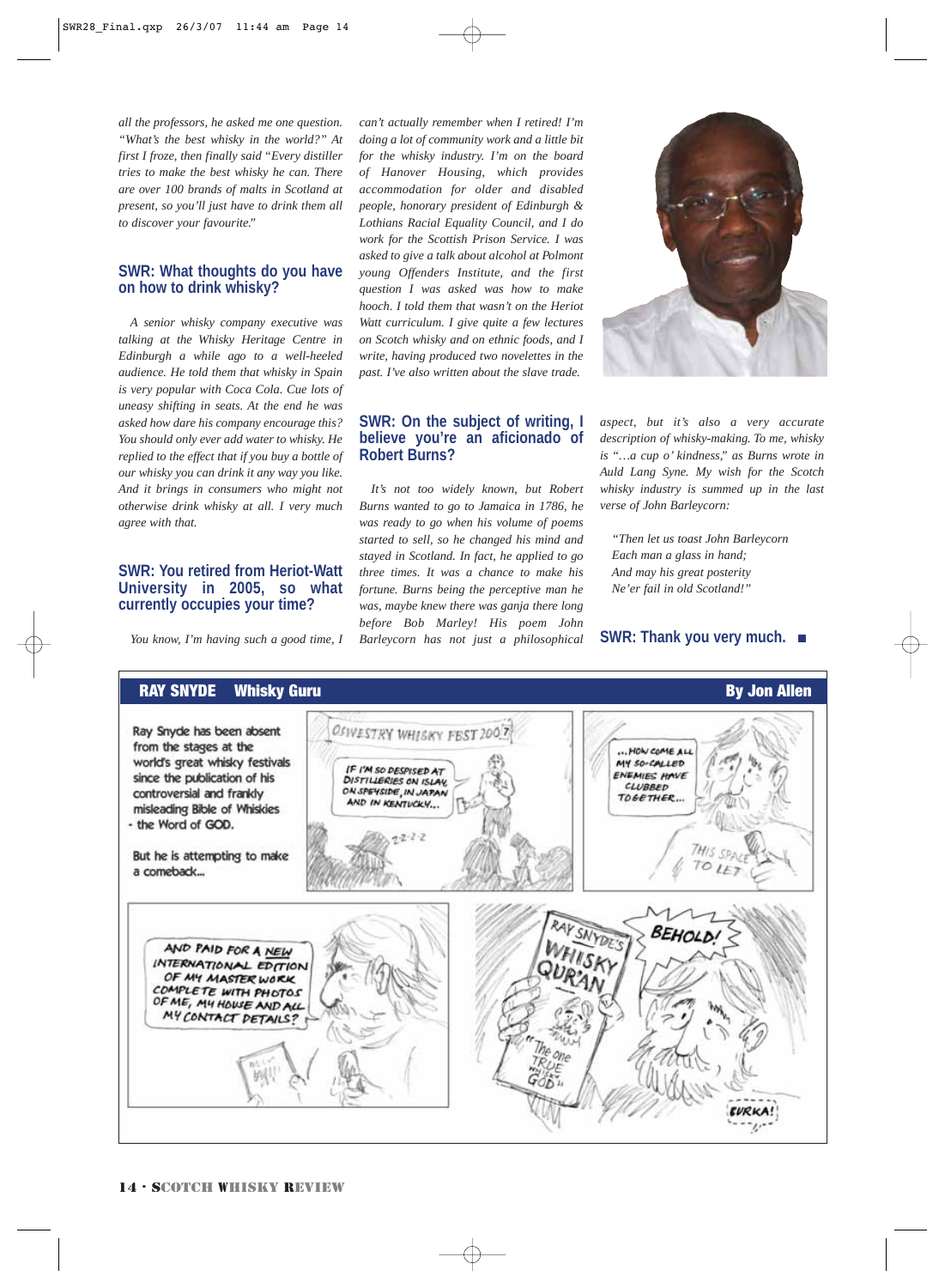*all the professors, he asked me one question. "What's the best whisky in the world?" At first I froze, then finally said "Every distiller tries to make the best whisky he can. There are over 100 brands of malts in Scotland at present, so you'll just have to drink them all to discover your favourite."*

### **SWR: What thoughts do you have on how to drink whisky?**

*A senior whisky company executive was talking at the Whisky Heritage Centre in Edinburgh a while ago to a well-heeled audience. He told them that whisky in Spain is very popular with Coca Cola. Cue lots of uneasy shifting in seats. At the end he was asked how dare his company encourage this? You should only ever add water to whisky. He replied to the effect that if you buy a bottle of our whisky you can drink it any way you like. And it brings in consumers who might not otherwise drink whisky at all. I very much agree with that.* 

### **SWR: You retired from Heriot-Watt University in 2005, so what currently occupies your time?**

*You know, I'm having such a good time, I*

*can't actually remember when I retired! I'm doing a lot of community work and a little bit for the whisky industry. I'm on the board of Hanover Housing, which provides accommodation for older and disabled people, honorary president of Edinburgh & Lothians Racial Equality Council, and I do work for the Scottish Prison Service. I was asked to give a talk about alcohol at Polmont young Offenders Institute, and the first question I was asked was how to make hooch. I told them that wasn't on the Heriot Watt curriculum. I give quite a few lectures on Scotch whisky and on ethnic foods, and I write, having produced two novelettes in the past. I've also written about the slave trade.* 

### **SWR: On the subject of writing, I believe you're an aficionado of Robert Burns?**

*It's not too widely known, but Robert Burns wanted to go to Jamaica in 1786, he was ready to go when his volume of poems started to sell, so he changed his mind and stayed in Scotland. In fact, he applied to go three times. It was a chance to make his fortune. Burns being the perceptive man he was, maybe knew there was ganja there long before Bob Marley! His poem John Barleycorn has not just a philosophical*



*aspect, but it's also a very accurate description of whisky-making. To me, whisky is "…a cup o' kindness," as Burns wrote in Auld Lang Syne. My wish for the Scotch whisky industry is summed up in the last verse of John Barleycorn:*

*"Then let us toast John Barleycorn Each man a glass in hand; And may his great posterity Ne'er fail in old Scotland!"*

**SWR: Thank you very much.** ■

### **RAY SNYDE Whisky Guru By Jon Allen**

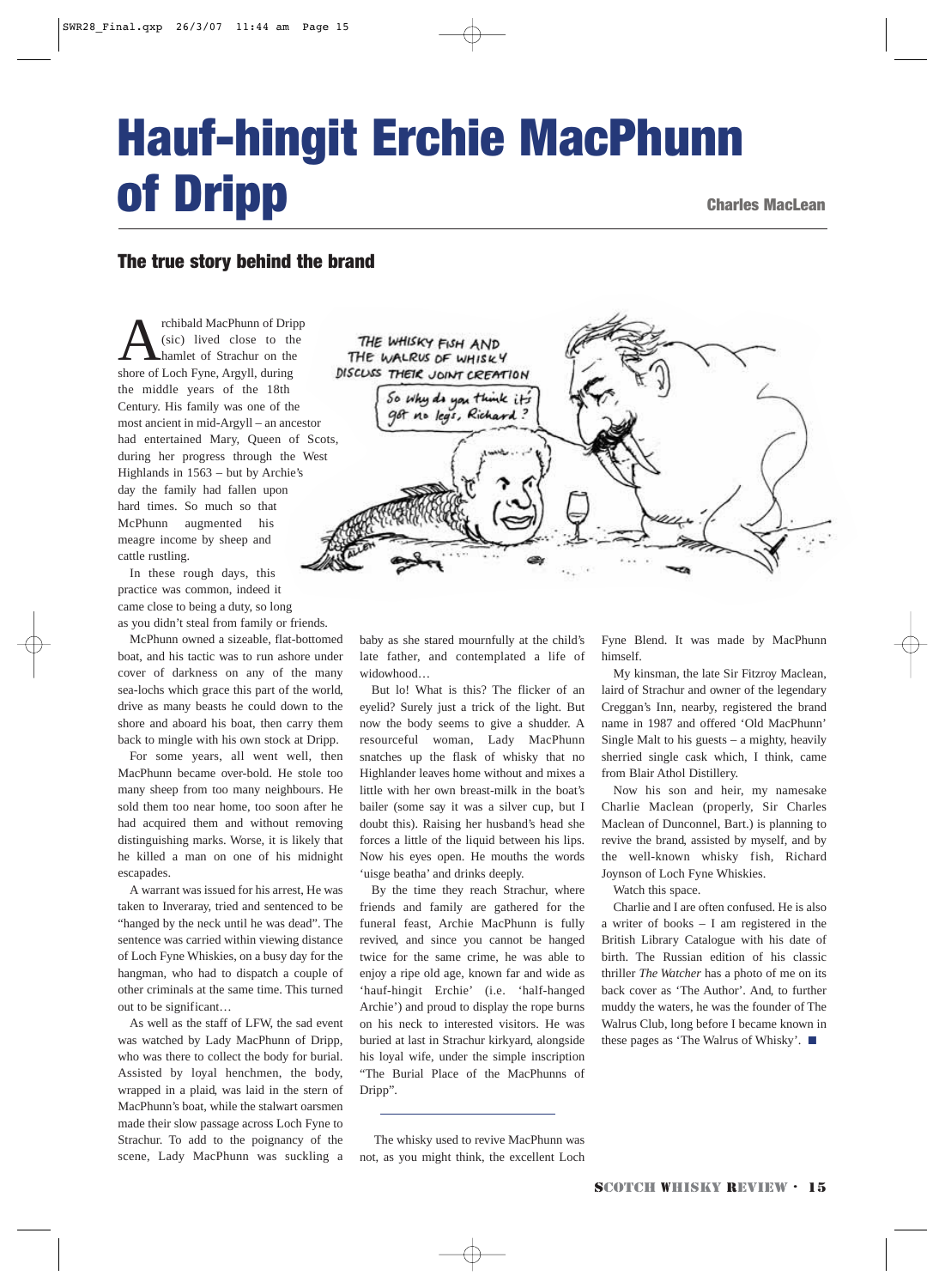## Hauf-hingit Erchie MacPhunn of Dripp Charles MacLean

### The true story behind the brand

Archibald MacPhunn of Dripp<br>
shore of Loch Fyne, Argyll, during<br>
shore of Loch Fyne, Argyll, during (sic) lived close to the hamlet of Strachur on the the middle years of the 18th Century. His family was one of the most ancient in mid-Argyll – an ancestor had entertained Mary, Queen of Scots, during her progress through the West Highlands in 1563 – but by Archie's day the family had fallen upon hard times. So much so that McPhunn augmented his meagre income by sheep and cattle rustling.

In these rough days, this practice was common, indeed it came close to being a duty, so long as you didn't steal from family or friends.

McPhunn owned a sizeable, flat-bottomed boat, and his tactic was to run ashore under cover of darkness on any of the many sea-lochs which grace this part of the world, drive as many beasts he could down to the shore and aboard his boat, then carry them back to mingle with his own stock at Dripp.

For some years, all went well, then MacPhunn became over-bold. He stole too many sheep from too many neighbours. He sold them too near home, too soon after he had acquired them and without removing distinguishing marks. Worse, it is likely that he killed a man on one of his midnight escapades.

A warrant was issued for his arrest, He was taken to Inveraray, tried and sentenced to be "hanged by the neck until he was dead". The sentence was carried within viewing distance of Loch Fyne Whiskies, on a busy day for the hangman, who had to dispatch a couple of other criminals at the same time. This turned out to be significant…

As well as the staff of LFW, the sad event was watched by Lady MacPhunn of Dripp, who was there to collect the body for burial. Assisted by loyal henchmen, the body, wrapped in a plaid, was laid in the stern of MacPhunn's boat, while the stalwart oarsmen made their slow passage across Loch Fyne to Strachur. To add to the poignancy of the scene, Lady MacPhunn was suckling a



baby as she stared mournfully at the child's late father, and contemplated a life of widowhood…

But lo! What is this? The flicker of an eyelid? Surely just a trick of the light. But now the body seems to give a shudder. A resourceful woman, Lady MacPhunn snatches up the flask of whisky that no Highlander leaves home without and mixes a little with her own breast-milk in the boat's bailer (some say it was a silver cup, but I doubt this). Raising her husband's head she forces a little of the liquid between his lips. Now his eyes open. He mouths the words 'uisge beatha' and drinks deeply.

By the time they reach Strachur, where friends and family are gathered for the funeral feast, Archie MacPhunn is fully revived, and since you cannot be hanged twice for the same crime, he was able to enjoy a ripe old age, known far and wide as 'hauf-hingit Erchie' (i.e. 'half-hanged Archie') and proud to display the rope burns on his neck to interested visitors. He was buried at last in Strachur kirkyard, alongside his loyal wife, under the simple inscription "The Burial Place of the MacPhunns of Dripp".

The whisky used to revive MacPhunn was not, as you might think, the excellent Loch

Fyne Blend. It was made by MacPhunn himself.

My kinsman, the late Sir Fitzroy Maclean, laird of Strachur and owner of the legendary Creggan's Inn, nearby, registered the brand name in 1987 and offered 'Old MacPhunn' Single Malt to his guests – a mighty, heavily sherried single cask which, I think, came from Blair Athol Distillery.

Now his son and heir, my namesake Charlie Maclean (properly, Sir Charles Maclean of Dunconnel, Bart.) is planning to revive the brand, assisted by myself, and by the well-known whisky fish, Richard Joynson of Loch Fyne Whiskies.

Watch this space.

Charlie and I are often confused. He is also a writer of books – I am registered in the British Library Catalogue with his date of birth. The Russian edition of his classic thriller *The Watcher* has a photo of me on its back cover as 'The Author'. And, to further muddy the waters, he was the founder of The Walrus Club, long before I became known in these pages as 'The Walrus of Whisky'.  $\Box$